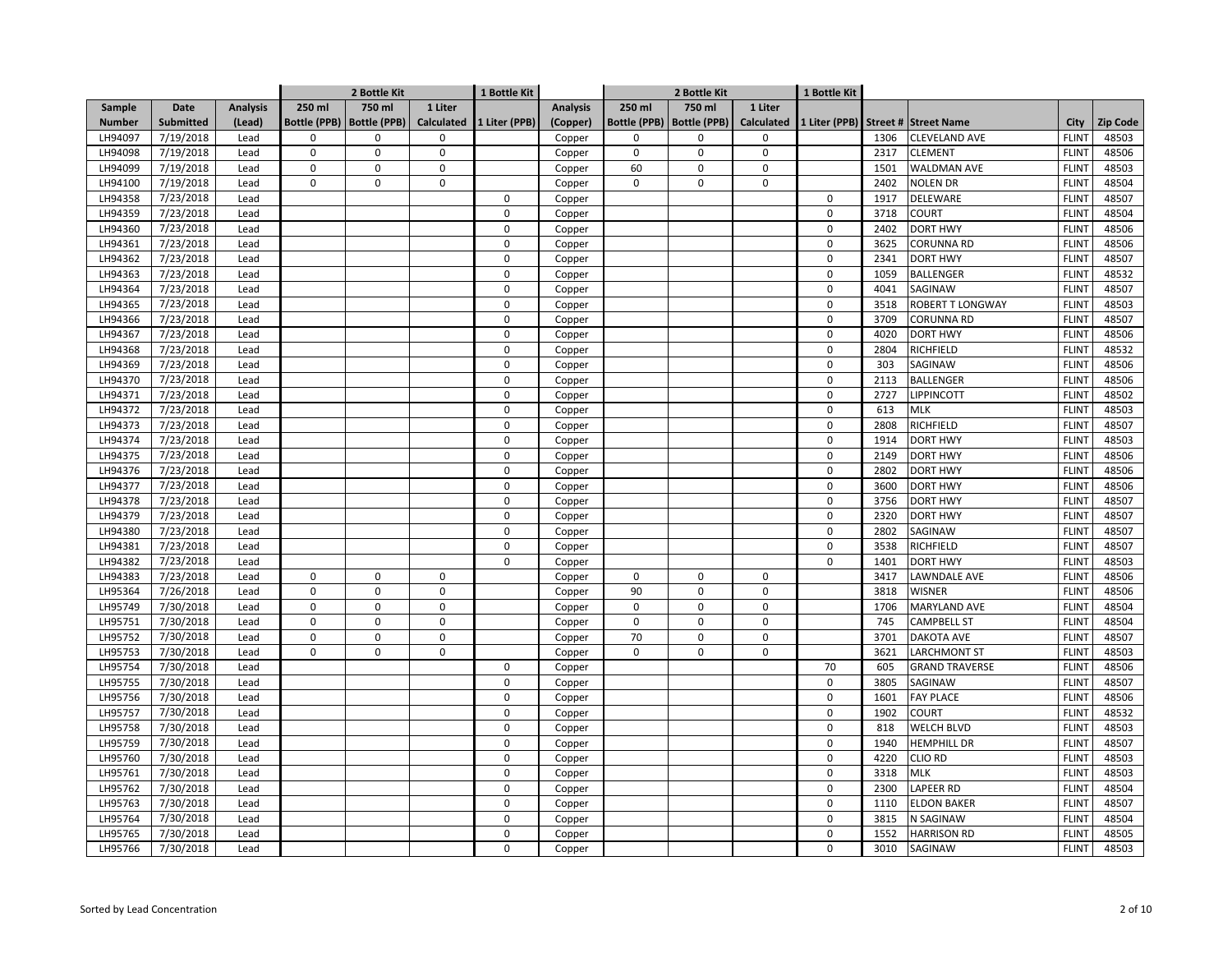|               |                  |                 |        | 2 Bottle Kit                |                   | 1 Bottle Kit  |                  | 2 Bottle Kit        |                     | 1 Bottle Kit |               |      |                         |              |                 |
|---------------|------------------|-----------------|--------|-----------------------------|-------------------|---------------|------------------|---------------------|---------------------|--------------|---------------|------|-------------------------|--------------|-----------------|
| Sample        | Date             | <b>Analysis</b> | 250 ml | 750 ml                      | 1 Liter           |               | <b>Analysis</b>  | 250 ml              | 750 ml              | 1 Liter      |               |      |                         |              |                 |
| <b>Number</b> | <b>Submitted</b> | (Lead)          |        | Bottle (PPB)   Bottle (PPB) | <b>Calculated</b> | 1 Liter (PPB) | (Copper)         | <b>Bottle (PPB)</b> | <b>Bottle (PPB)</b> | Calculated   | 1 Liter (PPB) |      | Street # Street Name    | City         | <b>Zip Code</b> |
| LH94097       | 7/19/2018        | Lead            | 0      | $\mathbf 0$                 | $\mathbf 0$       |               | Copper           | $\Omega$            | $\mathbf 0$         | 0            |               | 1306 | <b>CLEVELAND AVE</b>    | <b>FLINT</b> | 48503           |
| LH94098       | 7/19/2018        | Lead            | 0      | $\mathbf 0$                 | $\mathsf 0$       |               | Copper           | $\mathbf 0$         | $\mathbf 0$         | 0            |               | 2317 | <b>CLEMENT</b>          | <b>FLINT</b> | 48506           |
| LH94099       | 7/19/2018        | Lead            | 0      | $\mathbf 0$                 | $\mathbf 0$       |               | Copper           | 60                  | $\mathbf 0$         | 0            |               | 1501 | WALDMAN AVE             | <b>FLINT</b> | 48503           |
| LH94100       | 7/19/2018        | Lead            | 0      | $\mathbf 0$                 | $\mathsf 0$       |               | Copper           | $\mathbf 0$         | $\mathbf 0$         | 0            |               | 2402 | <b>NOLEN DR</b>         | <b>FLINT</b> | 48504           |
| LH94358       | 7/23/2018        | Lead            |        |                             |                   | $\mathbf 0$   | Copper           |                     |                     |              | 0             | 1917 | DELEWARE                | <b>FLINT</b> | 48507           |
| LH94359       | 7/23/2018        | Lead            |        |                             |                   | $\mathbf 0$   | Copper           |                     |                     |              | 0             | 3718 | <b>COURT</b>            | <b>FLINT</b> | 48504           |
| LH94360       | 7/23/2018        | Lead            |        |                             |                   | $\Omega$      | Copper           |                     |                     |              | 0             | 2402 | <b>DORT HWY</b>         | <b>FLINT</b> | 48506           |
| LH94361       | 7/23/2018        | Lead            |        |                             |                   | $\Omega$      | Copper           |                     |                     |              | 0             | 3625 | CORUNNA RD              | <b>FLINT</b> | 48506           |
| LH94362       | 7/23/2018        | Lead            |        |                             |                   | $\Omega$      | Copper           |                     |                     |              | 0             | 2341 | <b>DORT HWY</b>         | <b>FLINT</b> | 48507           |
| LH94363       | 7/23/2018        | Lead            |        |                             |                   | $\mathbf 0$   | Copper           |                     |                     |              | 0             | 1059 | <b>BALLENGER</b>        | <b>FLINT</b> | 48532           |
| LH94364       | 7/23/2018        | Lead            |        |                             |                   | $\mathbf 0$   | Copper           |                     |                     |              | 0             | 4041 | SAGINAW                 | <b>FLINT</b> | 48507           |
| LH94365       | 7/23/2018        | Lead            |        |                             |                   | $\mathsf 0$   | Copper           |                     |                     |              | 0             | 3518 | <b>ROBERT T LONGWAY</b> | <b>FLINT</b> | 48503           |
| LH94366       | 7/23/2018        | Lead            |        |                             |                   | $\mathbf 0$   | Copper           |                     |                     |              | 0             | 3709 | CORUNNA RD              | <b>FLINT</b> | 48507           |
| LH94367       | 7/23/2018        | Lead            |        |                             |                   | $\mathbf 0$   | Copper           |                     |                     |              | 0             | 4020 | <b>DORT HWY</b>         | <b>FLINT</b> | 48506           |
| LH94368       | 7/23/2018        | Lead            |        |                             |                   | $\mathbf 0$   | Copper           |                     |                     |              | 0             | 2804 | RICHFIELD               | <b>FLINT</b> | 48532           |
| LH94369       | 7/23/2018        | Lead            |        |                             |                   | $\mathbf 0$   | Copper           |                     |                     |              | 0             | 303  | SAGINAW                 | <b>FLINT</b> | 48506           |
| LH94370       | 7/23/2018        | Lead            |        |                             |                   | $\mathbf 0$   | Copper           |                     |                     |              | 0             | 2113 | <b>BALLENGER</b>        | <b>FLINT</b> | 48506           |
| LH94371       | 7/23/2018        | Lead            |        |                             |                   | $\mathbf 0$   | Copper           |                     |                     |              | 0             | 2727 | LIPPINCOTT              | <b>FLINT</b> | 48502           |
| LH94372       | 7/23/2018        | Lead            |        |                             |                   | $\mathbf 0$   | Copper           |                     |                     |              | 0             | 613  | <b>MLK</b>              | <b>FLINT</b> | 48503           |
| LH94373       | 7/23/2018        | Lead            |        |                             |                   | 0             | Copper           |                     |                     |              | 0             | 2808 | RICHFIELD               | <b>FLINT</b> | 48507           |
| LH94374       | 7/23/2018        | Lead            |        |                             |                   | $\Omega$      | Copper           |                     |                     |              | 0             | 1914 | <b>DORT HWY</b>         | <b>FLINT</b> | 48503           |
| LH94375       | 7/23/2018        | Lead            |        |                             |                   | $\Omega$      | Copper           |                     |                     |              | 0             | 2149 | <b>DORT HWY</b>         | <b>FLINT</b> | 48506           |
| LH94376       | 7/23/2018        | Lead            |        |                             |                   | $\Omega$      | Copper           |                     |                     |              | 0             | 2802 | <b>DORT HWY</b>         | <b>FLINT</b> | 48506           |
| LH94377       | 7/23/2018        | Lead            |        |                             |                   | $\Omega$      | Copper           |                     |                     |              | 0             | 3600 | <b>DORT HWY</b>         | <b>FLINT</b> | 48506           |
| LH94378       | 7/23/2018        | Lead            |        |                             |                   | $\mathbf 0$   | Copper           |                     |                     |              | 0             | 3756 | <b>DORT HWY</b>         | <b>FLINT</b> | 48507           |
| LH94379       | 7/23/2018        | Lead            |        |                             |                   | $\mathsf 0$   | Copper           |                     |                     |              | 0             | 2320 | <b>DORT HWY</b>         | <b>FLINT</b> | 48507           |
| LH94380       | 7/23/2018        | Lead            |        |                             |                   | $\mathbf 0$   | Copper           |                     |                     |              | 0             | 2802 | SAGINAW                 | <b>FLINT</b> | 48507           |
| LH94381       | 7/23/2018        | Lead            |        |                             |                   | $\mathsf 0$   | Copper           |                     |                     |              | 0             | 3538 | RICHFIELD               | <b>FLINT</b> | 48507           |
| LH94382       | 7/23/2018        | Lead            |        |                             |                   | $\mathbf 0$   | Copper           |                     |                     |              | 0             | 1401 | <b>DORT HWY</b>         | <b>FLINT</b> | 48503           |
| LH94383       | 7/23/2018        | Lead            | 0      | $\mathbf 0$                 | $\mathsf 0$       |               | Copper           | $\mathbf 0$         | 0                   | 0            |               | 3417 | LAWNDALE AVE            | <b>FLINT</b> | 48506           |
| LH95364       | 7/26/2018        | Lead            | 0      | $\mathbf 0$                 | $\mathbf 0$       |               | Copper           | 90                  | $\mathbf 0$         | 0            |               | 3818 | <b>WISNER</b>           | <b>FLINT</b> | 48506           |
| LH95749       | 7/30/2018        | Lead            | 0      | $\mathbf 0$                 | $\mathsf 0$       |               | Copper           | $\mathbf 0$         | $\mathbf 0$         | 0            |               | 1706 | MARYLAND AVE            | <b>FLINT</b> | 48504           |
| LH95751       | 7/30/2018        | Lead            | 0      | $\mathbf 0$                 | $\mathbf 0$       |               |                  | $\mathbf 0$         | $\mathbf 0$         | 0            |               | 745  | <b>CAMPBELL ST</b>      | <b>FLINT</b> | 48504           |
| LH95752       | 7/30/2018        | Lead            | 0      | $\mathbf 0$                 | $\mathsf 0$       |               | Copper<br>Copper | 70                  | $\mathsf 0$         | 0            |               | 3701 | DAKOTA AVE              | <b>FLINT</b> | 48507           |
| LH95753       | 7/30/2018        | Lead            | 0      | $\mathbf 0$                 | $\mathbf 0$       |               | Copper           | $\Omega$            | $\mathbf 0$         | 0            |               | 3621 | <b>LARCHMONT ST</b>     | <b>FLINT</b> | 48503           |
| LH95754       | 7/30/2018        | Lead            |        |                             |                   | $\Omega$      | Copper           |                     |                     |              | 70            | 605  | <b>GRAND TRAVERSE</b>   | <b>FLINT</b> | 48506           |
| LH95755       | 7/30/2018        | Lead            |        |                             |                   | $\mathbf 0$   |                  |                     |                     |              | 0             | 3805 | SAGINAW                 | <b>FLINT</b> | 48507           |
| LH95756       | 7/30/2018        | Lead            |        |                             |                   | $\mathbf 0$   | Copper           |                     |                     |              | 0             | 1601 | <b>FAY PLACE</b>        | <b>FLINT</b> | 48506           |
|               |                  |                 |        |                             |                   | $\mathbf 0$   | Copper           |                     |                     |              | 0             |      |                         |              |                 |
| LH95757       | 7/30/2018        | Lead            |        |                             |                   |               | Copper           |                     |                     |              |               | 1902 | COURT                   | <b>FLINT</b> | 48532           |
| LH95758       | 7/30/2018        | Lead            |        |                             |                   | $\mathsf 0$   | Copper           |                     |                     |              | 0             | 818  | <b>WELCH BLVD</b>       | <b>FLINT</b> | 48503           |
| LH95759       | 7/30/2018        | Lead            |        |                             |                   | $\mathbf 0$   | Copper           |                     |                     |              | $\mathbf 0$   | 1940 | <b>HEMPHILL DR</b>      | <b>FLINT</b> | 48507           |
| LH95760       | 7/30/2018        | Lead            |        |                             |                   | $\mathbf 0$   | Copper           |                     |                     |              | 0             | 4220 | CLIO RD                 | <b>FLINT</b> | 48503           |
| LH95761       | 7/30/2018        | Lead            |        |                             |                   | $\mathbf 0$   | Copper           |                     |                     |              | 0             | 3318 | <b>MLK</b>              | <b>FLINT</b> | 48503           |
| LH95762       | 7/30/2018        | Lead            |        |                             |                   | $\mathbf 0$   | Copper           |                     |                     |              | 0             | 2300 | LAPEER RD               | <b>FLINT</b> | 48504           |
| LH95763       | 7/30/2018        | Lead            |        |                             |                   | $\mathbf 0$   | Copper           |                     |                     |              | 0             | 1110 | <b>ELDON BAKER</b>      | <b>FLINT</b> | 48507           |
| LH95764       | 7/30/2018        | Lead            |        |                             |                   | 0             | Copper           |                     |                     |              | 0             | 3815 | N SAGINAW               | <b>FLINT</b> | 48504           |
| LH95765       | 7/30/2018        | Lead            |        |                             |                   | $\mathbf 0$   | Copper           |                     |                     |              | 0             | 1552 | <b>HARRISON RD</b>      | <b>FLINT</b> | 48505           |
| LH95766       | 7/30/2018        | Lead            |        |                             |                   | 0             | Copper           |                     |                     |              | 0             | 3010 | SAGINAW                 | <b>FLINT</b> | 48503           |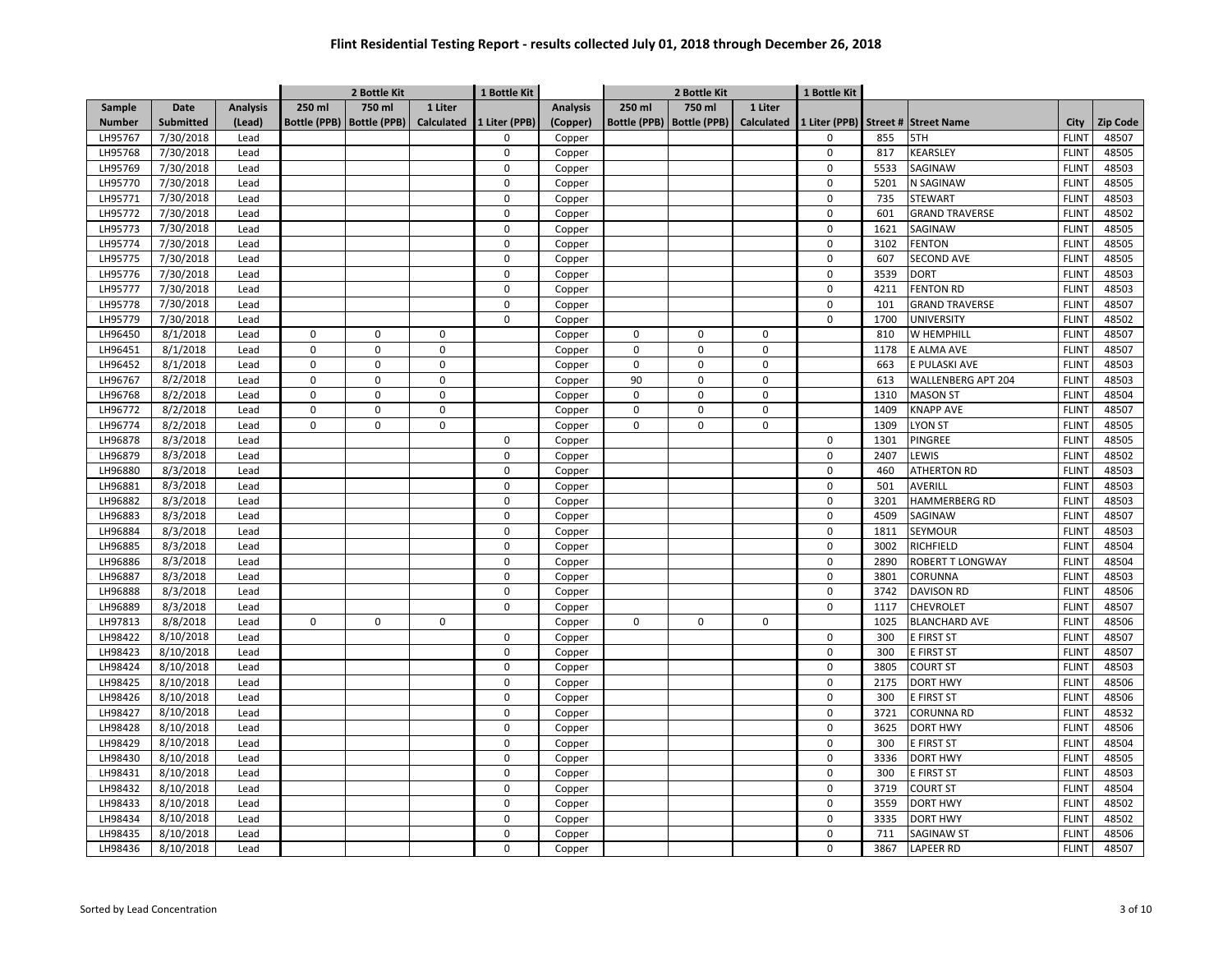| 750 ml<br>750 ml<br>1 Liter<br><b>Analysis</b><br>1 Liter<br>Sample<br>Date<br><b>Analysis</b><br>250 ml<br>250 ml<br>Submitted<br>(Lead)<br>Bottle (PPB)   Bottle (PPB)<br>Calculated<br>1 Liter (PPB)<br><b>Bottle (PPB)</b><br><b>Bottle (PPB)</b><br>Calculated<br>1 Liter (PPB) Street # Street Name<br><b>Zip Code</b><br><b>Number</b><br>(Copper)<br>City<br>LH95767<br>7/30/2018<br><b>FLINT</b><br>48507<br>Lead<br>$\Omega$<br>Copper<br>$\Omega$<br>855<br>5TH<br>LH95768<br>7/30/2018<br>$\mathbf 0$<br>$\pmb{0}$<br><b>KEARSLEY</b><br><b>FLINT</b><br>48505<br>Lead<br>Copper<br>817<br>7/30/2018<br>LH95769<br>$\mathbf 0$<br>$\mathbf 0$<br>5533<br>SAGINAW<br><b>FLINT</b><br>48503<br>Lead<br>Copper<br>7/30/2018<br>LH95770<br>$\mathbf 0$<br>$\mathbf 0$<br>5201<br>N SAGINAW<br><b>FLINT</b><br>48505<br>Lead<br>Copper<br>7/30/2018<br>LH95771<br>Lead<br>$\mathbf 0$<br>0<br>735<br><b>STEWART</b><br><b>FLINT</b><br>48503<br>Copper<br>7/30/2018<br>$\pmb{0}$<br><b>GRAND TRAVERSE</b><br><b>FLINT</b><br>48502<br>LH95772<br>Lead<br>$\mathbf 0$<br>Copper<br>601<br>7/30/2018<br>LH95773<br>$\mathbf 0$<br>$\mathbf 0$<br>1621<br>SAGINAW<br><b>FLINT</b><br>48505<br>Lead<br>Copper<br>$\mathbf 0$<br>7/30/2018<br>$\mathbf 0$<br>3102<br><b>FENTON</b><br><b>FLINT</b><br>48505<br>LH95774<br>Lead<br>Copper<br>LH95775<br>7/30/2018<br>$\mathbf 0$<br>$\mathbf 0$<br><b>SECOND AVE</b><br><b>FLINT</b><br>48505<br>Lead<br>Copper<br>607<br>LH95776<br>7/30/2018<br>$\mathbf 0$<br>$\pmb{0}$<br>3539<br><b>DORT</b><br><b>FLINT</b><br>48503<br>Lead<br>Copper<br>48503<br>LH95777<br>7/30/2018<br>$\mathbf 0$<br>$\mathbf 0$<br>4211<br><b>FENTON RD</b><br><b>FLINT</b><br>Lead<br>Copper<br>LH95778<br>7/30/2018<br>$\pmb{0}$<br>101<br><b>GRAND TRAVERSE</b><br><b>FLINT</b><br>48507<br>Lead<br>$\mathbf 0$<br>Copper<br>$\mathbf 0$<br>48502<br>LH95779<br>7/30/2018<br>Lead<br>$\mathbf 0$<br>1700<br><b>UNIVERSITY</b><br><b>FLINT</b><br>Copper<br>8/1/2018<br>810<br>48507<br>LH96450<br>$\pmb{0}$<br>$\mathbf 0$<br>0<br>$\mathbf 0$<br>0<br>0<br>W HEMPHILL<br><b>FLINT</b><br>Lead<br>Copper<br>$\mathbf 0$<br>48507<br>LH96451<br>8/1/2018<br>$\pmb{0}$<br>$\mathbf 0$<br>$\mathbf 0$<br>$\mathbf 0$<br>0<br>E ALMA AVE<br><b>FLINT</b><br>Lead<br>Copper<br>1178<br>8/1/2018<br>$\pmb{0}$<br>$\mathbf 0$<br>0<br>E PULASKI AVE<br><b>FLINT</b><br>48503<br>LH96452<br>$\mathbf 0$<br>$\mathbf 0$<br>$\mathbf 0$<br>663<br>Lead<br>Copper<br>8/2/2018<br>$\pmb{0}$<br>$\mathbf 0$<br>LH96767<br>Lead<br>$\mathbf 0$<br>90<br>$\mathbf 0$<br>0<br>613<br><b>WALLENBERG APT 204</b><br><b>FLINT</b><br>48503<br>Copper<br>8/2/2018<br>$\pmb{0}$<br>$\mathsf 0$<br>$\mathsf 0$<br>$\mathsf 0$<br>0<br>48504<br>LH96768<br>Lead<br>$\mathbf 0$<br>1310<br><b>MASON ST</b><br><b>FLINT</b><br>Copper<br>8/2/2018<br>$\pmb{0}$<br>$\mathbf 0$<br>LH96772<br>Lead<br>0<br>$\mathbf 0$<br>$\mathbf 0$<br>0<br>1409<br><b>KNAPP AVE</b><br><b>FLINT</b><br>48507<br>Copper<br>8/2/2018<br>48505<br>LH96774<br>Lead<br>$\pmb{0}$<br>$\mathbf 0$<br>0<br>$\mathbf 0$<br>0<br>0<br>1309<br><b>LYON ST</b><br><b>FLINT</b><br>Copper<br>1301<br>48505<br>LH96878<br>8/3/2018<br>$\mathbf 0$<br>PINGREE<br><b>FLINT</b><br>Lead<br>$\Omega$<br>Copper<br>LH96879<br>8/3/2018<br>$\mathbf 0$<br>$\mathbf 0$<br>LEWIS<br><b>FLINT</b><br>48502<br>Lead<br>2407<br>Copper<br>$\mathbf 0$<br>LH96880<br>8/3/2018<br>$\Omega$<br>460<br><b>ATHERTON RD</b><br><b>FLINT</b><br>48503<br>Lead<br>Copper<br>LH96881<br>8/3/2018<br>$\mathbf 0$<br>$\pmb{0}$<br>501<br>AVERILL<br><b>FLINT</b><br>48503<br>Lead<br>Copper<br>LH96882<br>8/3/2018<br>$\mathbf 0$<br>$\mathbf 0$<br>3201<br><b>HAMMERBERG RD</b><br><b>FLINT</b><br>48503<br>Lead<br>Copper<br>LH96883<br>8/3/2018<br>$\pmb{0}$<br>SAGINAW<br><b>FLINT</b><br>48507<br>Lead<br>$\mathbf 0$<br>4509<br>Copper<br>LH96884<br>8/3/2018<br>$\mathbf 0$<br>$\pmb{0}$<br>1811<br><b>SEYMOUR</b><br><b>FLINT</b><br>48503<br>Lead<br>Copper<br>$\pmb{0}$<br>8/3/2018<br><b>RICHFIELD</b><br>48504<br>LH96885<br>Lead<br>0<br>Copper<br>3002<br><b>FLINT</b><br>LH96886<br>8/3/2018<br>$\Omega$<br>$\mathbf 0$<br>2890<br>ROBERT T LONGWAY<br><b>FLINT</b><br>48504<br>Lead<br>Copper<br>8/3/2018<br>$\mathbf 0$<br>$\mathbf 0$<br>3801<br><b>FLINT</b><br>48503<br>LH96887<br>Lead<br>Copper<br>CORUNNA<br>8/3/2018<br>$\mathbf 0$<br>LH96888<br>$\mathbf 0$<br>3742<br><b>DAVISON RD</b><br><b>FLINT</b><br>48506<br>Lead<br>Copper<br>8/3/2018<br>LH96889<br>$\mathbf 0$<br>$\mathbf 0$<br><b>CHEVROLET</b><br><b>FLINT</b><br>48507<br>Lead<br>Copper<br>1117<br>8/8/2018<br>LH97813<br>$\mathbf 0$<br>$\mathbf 0$<br>$\mathbf 0$<br>$\mathbf 0$<br>0<br>1025<br><b>BLANCHARD AVE</b><br><b>FLINT</b><br>48506<br>Lead<br>Copper<br>$\mathbf 0$<br>8/10/2018<br>300<br>48507<br>LH98422<br>Lead<br>0<br>$\pmb{0}$<br>E FIRST ST<br><b>FLINT</b><br>Copper<br>E FIRST ST<br>48507<br>LH98423<br>8/10/2018<br>$\mathbf 0$<br>$\mathbf 0$<br>300<br><b>FLINT</b><br>Lead<br>Copper<br>$\mathbf 0$<br>LH98424<br>8/10/2018<br>$\mathbf 0$<br>3805<br>COURT ST<br><b>FLINT</b><br>48503<br>Lead<br>Copper<br>$\mathbf 0$<br>LH98425<br>8/10/2018<br>$\Omega$<br>2175<br><b>DORT HWY</b><br><b>FLINT</b><br>48506<br>Lead<br>Copper<br>LH98426<br>8/10/2018<br>$\mathbf 0$<br>$\pmb{0}$<br>300<br>E FIRST ST<br><b>FLINT</b><br>48506<br>Lead<br>Copper<br>LH98427<br>8/10/2018<br>$\mathbf 0$<br>$\mathbf 0$<br>3721<br><b>CORUNNA RD</b><br><b>FLINT</b><br>48532<br>Lead<br>Copper<br>LH98428<br>8/10/2018<br>$\pmb{0}$<br>3625<br><b>DORT HWY</b><br><b>FLINT</b><br>48506<br>Lead<br>0<br>Copper<br>$\pmb{0}$<br>LH98429<br>8/10/2018<br>Lead<br>$\mathbf 0$<br>300<br>E FIRST ST<br><b>FLINT</b><br>48504<br>Copper<br>$\pmb{0}$<br>3336<br>48505<br>LH98430<br>8/10/2018<br>0<br><b>DORT HWY</b><br><b>FLINT</b><br>Lead<br>Copper<br>8/10/2018<br>$\pmb{0}$<br>48503<br>LH98431<br>$\mathbf 0$<br>300<br>E FIRST ST<br><b>FLINT</b><br>Lead<br>Copper<br>8/10/2018<br>$\mathbf 0$<br>3719<br><b>FLINT</b><br>48504<br>LH98432<br>$\mathbf 0$<br><b>COURT ST</b><br>Lead<br>Copper<br>8/10/2018<br>$\mathbf 0$<br>LH98433<br>Lead<br>$\mathbf 0$<br>3559<br><b>DORT HWY</b><br><b>FLINT</b><br>48502<br>Copper<br>LH98434<br>8/10/2018<br>$\pmb{0}$<br>48502<br>Lead<br>0<br>3335<br><b>DORT HWY</b><br><b>FLINT</b><br>Copper<br>LH98435<br>8/10/2018<br>$\mathbf 0$<br>$\mathbf 0$<br>711<br>48506<br>Lead<br><b>SAGINAW ST</b><br><b>FLINT</b><br>Copper<br>3867<br>48507<br>LH98436<br>8/10/2018<br>$\mathbf 0$<br>$\mathbf 0$<br><b>LAPEER RD</b><br><b>FLINT</b><br>Lead<br>Copper |  |  | 2 Bottle Kit | 1 Bottle Kit | 2 Bottle Kit |  | 1 Bottle Kit |  |  |  |
|---------------------------------------------------------------------------------------------------------------------------------------------------------------------------------------------------------------------------------------------------------------------------------------------------------------------------------------------------------------------------------------------------------------------------------------------------------------------------------------------------------------------------------------------------------------------------------------------------------------------------------------------------------------------------------------------------------------------------------------------------------------------------------------------------------------------------------------------------------------------------------------------------------------------------------------------------------------------------------------------------------------------------------------------------------------------------------------------------------------------------------------------------------------------------------------------------------------------------------------------------------------------------------------------------------------------------------------------------------------------------------------------------------------------------------------------------------------------------------------------------------------------------------------------------------------------------------------------------------------------------------------------------------------------------------------------------------------------------------------------------------------------------------------------------------------------------------------------------------------------------------------------------------------------------------------------------------------------------------------------------------------------------------------------------------------------------------------------------------------------------------------------------------------------------------------------------------------------------------------------------------------------------------------------------------------------------------------------------------------------------------------------------------------------------------------------------------------------------------------------------------------------------------------------------------------------------------------------------------------------------------------------------------------------------------------------------------------------------------------------------------------------------------------------------------------------------------------------------------------------------------------------------------------------------------------------------------------------------------------------------------------------------------------------------------------------------------------------------------------------------------------------------------------------------------------------------------------------------------------------------------------------------------------------------------------------------------------------------------------------------------------------------------------------------------------------------------------------------------------------------------------------------------------------------------------------------------------------------------------------------------------------------------------------------------------------------------------------------------------------------------------------------------------------------------------------------------------------------------------------------------------------------------------------------------------------------------------------------------------------------------------------------------------------------------------------------------------------------------------------------------------------------------------------------------------------------------------------------------------------------------------------------------------------------------------------------------------------------------------------------------------------------------------------------------------------------------------------------------------------------------------------------------------------------------------------------------------------------------------------------------------------------------------------------------------------------------------------------------------------------------------------------------------------------------------------------------------------------------------------------------------------------------------------------------------------------------------------------------------------------------------------------------------------------------------------------------------------------------------------------------------------------------------------------------------------------------------------------------------------------------------------------------------------------------------------------------------------------------------------------------------------------------------------------------------------------------------------------------------------------------------------------------------------------------------------------------------------------------------------------------------------------------------------------------------------------------------------------------------------------------------------------------------------------------------------------------------------------------------------------------------------------------------------------------------------------------------------------------------------------------------------------------------------------------------------------------------------------------------------------------------------------------------------------------------------------------------------------------------------------------------------------------------------------------------------------------------------------------------------------------------------------------------------------------------------------------------------------------------------------------------------------------------------------------------------------------------------------------------------------------------------------------------------------|--|--|--------------|--------------|--------------|--|--------------|--|--|--|
|                                                                                                                                                                                                                                                                                                                                                                                                                                                                                                                                                                                                                                                                                                                                                                                                                                                                                                                                                                                                                                                                                                                                                                                                                                                                                                                                                                                                                                                                                                                                                                                                                                                                                                                                                                                                                                                                                                                                                                                                                                                                                                                                                                                                                                                                                                                                                                                                                                                                                                                                                                                                                                                                                                                                                                                                                                                                                                                                                                                                                                                                                                                                                                                                                                                                                                                                                                                                                                                                                                                                                                                                                                                                                                                                                                                                                                                                                                                                                                                                                                                                                                                                                                                                                                                                                                                                                                                                                                                                                                                                                                                                                                                                                                                                                                                                                                                                                                                                                                                                                                                                                                                                                                                                                                                                                                                                                                                                                                                                                                                                                                                                                                                                                                                                                                                                                                                                                                                                                                                                                                                                                                                                                                                                                                                                                                                                                                                                                                                                                                                                                                                                                                                                           |  |  |              |              |              |  |              |  |  |  |
|                                                                                                                                                                                                                                                                                                                                                                                                                                                                                                                                                                                                                                                                                                                                                                                                                                                                                                                                                                                                                                                                                                                                                                                                                                                                                                                                                                                                                                                                                                                                                                                                                                                                                                                                                                                                                                                                                                                                                                                                                                                                                                                                                                                                                                                                                                                                                                                                                                                                                                                                                                                                                                                                                                                                                                                                                                                                                                                                                                                                                                                                                                                                                                                                                                                                                                                                                                                                                                                                                                                                                                                                                                                                                                                                                                                                                                                                                                                                                                                                                                                                                                                                                                                                                                                                                                                                                                                                                                                                                                                                                                                                                                                                                                                                                                                                                                                                                                                                                                                                                                                                                                                                                                                                                                                                                                                                                                                                                                                                                                                                                                                                                                                                                                                                                                                                                                                                                                                                                                                                                                                                                                                                                                                                                                                                                                                                                                                                                                                                                                                                                                                                                                                                           |  |  |              |              |              |  |              |  |  |  |
|                                                                                                                                                                                                                                                                                                                                                                                                                                                                                                                                                                                                                                                                                                                                                                                                                                                                                                                                                                                                                                                                                                                                                                                                                                                                                                                                                                                                                                                                                                                                                                                                                                                                                                                                                                                                                                                                                                                                                                                                                                                                                                                                                                                                                                                                                                                                                                                                                                                                                                                                                                                                                                                                                                                                                                                                                                                                                                                                                                                                                                                                                                                                                                                                                                                                                                                                                                                                                                                                                                                                                                                                                                                                                                                                                                                                                                                                                                                                                                                                                                                                                                                                                                                                                                                                                                                                                                                                                                                                                                                                                                                                                                                                                                                                                                                                                                                                                                                                                                                                                                                                                                                                                                                                                                                                                                                                                                                                                                                                                                                                                                                                                                                                                                                                                                                                                                                                                                                                                                                                                                                                                                                                                                                                                                                                                                                                                                                                                                                                                                                                                                                                                                                                           |  |  |              |              |              |  |              |  |  |  |
|                                                                                                                                                                                                                                                                                                                                                                                                                                                                                                                                                                                                                                                                                                                                                                                                                                                                                                                                                                                                                                                                                                                                                                                                                                                                                                                                                                                                                                                                                                                                                                                                                                                                                                                                                                                                                                                                                                                                                                                                                                                                                                                                                                                                                                                                                                                                                                                                                                                                                                                                                                                                                                                                                                                                                                                                                                                                                                                                                                                                                                                                                                                                                                                                                                                                                                                                                                                                                                                                                                                                                                                                                                                                                                                                                                                                                                                                                                                                                                                                                                                                                                                                                                                                                                                                                                                                                                                                                                                                                                                                                                                                                                                                                                                                                                                                                                                                                                                                                                                                                                                                                                                                                                                                                                                                                                                                                                                                                                                                                                                                                                                                                                                                                                                                                                                                                                                                                                                                                                                                                                                                                                                                                                                                                                                                                                                                                                                                                                                                                                                                                                                                                                                                           |  |  |              |              |              |  |              |  |  |  |
|                                                                                                                                                                                                                                                                                                                                                                                                                                                                                                                                                                                                                                                                                                                                                                                                                                                                                                                                                                                                                                                                                                                                                                                                                                                                                                                                                                                                                                                                                                                                                                                                                                                                                                                                                                                                                                                                                                                                                                                                                                                                                                                                                                                                                                                                                                                                                                                                                                                                                                                                                                                                                                                                                                                                                                                                                                                                                                                                                                                                                                                                                                                                                                                                                                                                                                                                                                                                                                                                                                                                                                                                                                                                                                                                                                                                                                                                                                                                                                                                                                                                                                                                                                                                                                                                                                                                                                                                                                                                                                                                                                                                                                                                                                                                                                                                                                                                                                                                                                                                                                                                                                                                                                                                                                                                                                                                                                                                                                                                                                                                                                                                                                                                                                                                                                                                                                                                                                                                                                                                                                                                                                                                                                                                                                                                                                                                                                                                                                                                                                                                                                                                                                                                           |  |  |              |              |              |  |              |  |  |  |
|                                                                                                                                                                                                                                                                                                                                                                                                                                                                                                                                                                                                                                                                                                                                                                                                                                                                                                                                                                                                                                                                                                                                                                                                                                                                                                                                                                                                                                                                                                                                                                                                                                                                                                                                                                                                                                                                                                                                                                                                                                                                                                                                                                                                                                                                                                                                                                                                                                                                                                                                                                                                                                                                                                                                                                                                                                                                                                                                                                                                                                                                                                                                                                                                                                                                                                                                                                                                                                                                                                                                                                                                                                                                                                                                                                                                                                                                                                                                                                                                                                                                                                                                                                                                                                                                                                                                                                                                                                                                                                                                                                                                                                                                                                                                                                                                                                                                                                                                                                                                                                                                                                                                                                                                                                                                                                                                                                                                                                                                                                                                                                                                                                                                                                                                                                                                                                                                                                                                                                                                                                                                                                                                                                                                                                                                                                                                                                                                                                                                                                                                                                                                                                                                           |  |  |              |              |              |  |              |  |  |  |
|                                                                                                                                                                                                                                                                                                                                                                                                                                                                                                                                                                                                                                                                                                                                                                                                                                                                                                                                                                                                                                                                                                                                                                                                                                                                                                                                                                                                                                                                                                                                                                                                                                                                                                                                                                                                                                                                                                                                                                                                                                                                                                                                                                                                                                                                                                                                                                                                                                                                                                                                                                                                                                                                                                                                                                                                                                                                                                                                                                                                                                                                                                                                                                                                                                                                                                                                                                                                                                                                                                                                                                                                                                                                                                                                                                                                                                                                                                                                                                                                                                                                                                                                                                                                                                                                                                                                                                                                                                                                                                                                                                                                                                                                                                                                                                                                                                                                                                                                                                                                                                                                                                                                                                                                                                                                                                                                                                                                                                                                                                                                                                                                                                                                                                                                                                                                                                                                                                                                                                                                                                                                                                                                                                                                                                                                                                                                                                                                                                                                                                                                                                                                                                                                           |  |  |              |              |              |  |              |  |  |  |
|                                                                                                                                                                                                                                                                                                                                                                                                                                                                                                                                                                                                                                                                                                                                                                                                                                                                                                                                                                                                                                                                                                                                                                                                                                                                                                                                                                                                                                                                                                                                                                                                                                                                                                                                                                                                                                                                                                                                                                                                                                                                                                                                                                                                                                                                                                                                                                                                                                                                                                                                                                                                                                                                                                                                                                                                                                                                                                                                                                                                                                                                                                                                                                                                                                                                                                                                                                                                                                                                                                                                                                                                                                                                                                                                                                                                                                                                                                                                                                                                                                                                                                                                                                                                                                                                                                                                                                                                                                                                                                                                                                                                                                                                                                                                                                                                                                                                                                                                                                                                                                                                                                                                                                                                                                                                                                                                                                                                                                                                                                                                                                                                                                                                                                                                                                                                                                                                                                                                                                                                                                                                                                                                                                                                                                                                                                                                                                                                                                                                                                                                                                                                                                                                           |  |  |              |              |              |  |              |  |  |  |
|                                                                                                                                                                                                                                                                                                                                                                                                                                                                                                                                                                                                                                                                                                                                                                                                                                                                                                                                                                                                                                                                                                                                                                                                                                                                                                                                                                                                                                                                                                                                                                                                                                                                                                                                                                                                                                                                                                                                                                                                                                                                                                                                                                                                                                                                                                                                                                                                                                                                                                                                                                                                                                                                                                                                                                                                                                                                                                                                                                                                                                                                                                                                                                                                                                                                                                                                                                                                                                                                                                                                                                                                                                                                                                                                                                                                                                                                                                                                                                                                                                                                                                                                                                                                                                                                                                                                                                                                                                                                                                                                                                                                                                                                                                                                                                                                                                                                                                                                                                                                                                                                                                                                                                                                                                                                                                                                                                                                                                                                                                                                                                                                                                                                                                                                                                                                                                                                                                                                                                                                                                                                                                                                                                                                                                                                                                                                                                                                                                                                                                                                                                                                                                                                           |  |  |              |              |              |  |              |  |  |  |
|                                                                                                                                                                                                                                                                                                                                                                                                                                                                                                                                                                                                                                                                                                                                                                                                                                                                                                                                                                                                                                                                                                                                                                                                                                                                                                                                                                                                                                                                                                                                                                                                                                                                                                                                                                                                                                                                                                                                                                                                                                                                                                                                                                                                                                                                                                                                                                                                                                                                                                                                                                                                                                                                                                                                                                                                                                                                                                                                                                                                                                                                                                                                                                                                                                                                                                                                                                                                                                                                                                                                                                                                                                                                                                                                                                                                                                                                                                                                                                                                                                                                                                                                                                                                                                                                                                                                                                                                                                                                                                                                                                                                                                                                                                                                                                                                                                                                                                                                                                                                                                                                                                                                                                                                                                                                                                                                                                                                                                                                                                                                                                                                                                                                                                                                                                                                                                                                                                                                                                                                                                                                                                                                                                                                                                                                                                                                                                                                                                                                                                                                                                                                                                                                           |  |  |              |              |              |  |              |  |  |  |
|                                                                                                                                                                                                                                                                                                                                                                                                                                                                                                                                                                                                                                                                                                                                                                                                                                                                                                                                                                                                                                                                                                                                                                                                                                                                                                                                                                                                                                                                                                                                                                                                                                                                                                                                                                                                                                                                                                                                                                                                                                                                                                                                                                                                                                                                                                                                                                                                                                                                                                                                                                                                                                                                                                                                                                                                                                                                                                                                                                                                                                                                                                                                                                                                                                                                                                                                                                                                                                                                                                                                                                                                                                                                                                                                                                                                                                                                                                                                                                                                                                                                                                                                                                                                                                                                                                                                                                                                                                                                                                                                                                                                                                                                                                                                                                                                                                                                                                                                                                                                                                                                                                                                                                                                                                                                                                                                                                                                                                                                                                                                                                                                                                                                                                                                                                                                                                                                                                                                                                                                                                                                                                                                                                                                                                                                                                                                                                                                                                                                                                                                                                                                                                                                           |  |  |              |              |              |  |              |  |  |  |
|                                                                                                                                                                                                                                                                                                                                                                                                                                                                                                                                                                                                                                                                                                                                                                                                                                                                                                                                                                                                                                                                                                                                                                                                                                                                                                                                                                                                                                                                                                                                                                                                                                                                                                                                                                                                                                                                                                                                                                                                                                                                                                                                                                                                                                                                                                                                                                                                                                                                                                                                                                                                                                                                                                                                                                                                                                                                                                                                                                                                                                                                                                                                                                                                                                                                                                                                                                                                                                                                                                                                                                                                                                                                                                                                                                                                                                                                                                                                                                                                                                                                                                                                                                                                                                                                                                                                                                                                                                                                                                                                                                                                                                                                                                                                                                                                                                                                                                                                                                                                                                                                                                                                                                                                                                                                                                                                                                                                                                                                                                                                                                                                                                                                                                                                                                                                                                                                                                                                                                                                                                                                                                                                                                                                                                                                                                                                                                                                                                                                                                                                                                                                                                                                           |  |  |              |              |              |  |              |  |  |  |
|                                                                                                                                                                                                                                                                                                                                                                                                                                                                                                                                                                                                                                                                                                                                                                                                                                                                                                                                                                                                                                                                                                                                                                                                                                                                                                                                                                                                                                                                                                                                                                                                                                                                                                                                                                                                                                                                                                                                                                                                                                                                                                                                                                                                                                                                                                                                                                                                                                                                                                                                                                                                                                                                                                                                                                                                                                                                                                                                                                                                                                                                                                                                                                                                                                                                                                                                                                                                                                                                                                                                                                                                                                                                                                                                                                                                                                                                                                                                                                                                                                                                                                                                                                                                                                                                                                                                                                                                                                                                                                                                                                                                                                                                                                                                                                                                                                                                                                                                                                                                                                                                                                                                                                                                                                                                                                                                                                                                                                                                                                                                                                                                                                                                                                                                                                                                                                                                                                                                                                                                                                                                                                                                                                                                                                                                                                                                                                                                                                                                                                                                                                                                                                                                           |  |  |              |              |              |  |              |  |  |  |
|                                                                                                                                                                                                                                                                                                                                                                                                                                                                                                                                                                                                                                                                                                                                                                                                                                                                                                                                                                                                                                                                                                                                                                                                                                                                                                                                                                                                                                                                                                                                                                                                                                                                                                                                                                                                                                                                                                                                                                                                                                                                                                                                                                                                                                                                                                                                                                                                                                                                                                                                                                                                                                                                                                                                                                                                                                                                                                                                                                                                                                                                                                                                                                                                                                                                                                                                                                                                                                                                                                                                                                                                                                                                                                                                                                                                                                                                                                                                                                                                                                                                                                                                                                                                                                                                                                                                                                                                                                                                                                                                                                                                                                                                                                                                                                                                                                                                                                                                                                                                                                                                                                                                                                                                                                                                                                                                                                                                                                                                                                                                                                                                                                                                                                                                                                                                                                                                                                                                                                                                                                                                                                                                                                                                                                                                                                                                                                                                                                                                                                                                                                                                                                                                           |  |  |              |              |              |  |              |  |  |  |
|                                                                                                                                                                                                                                                                                                                                                                                                                                                                                                                                                                                                                                                                                                                                                                                                                                                                                                                                                                                                                                                                                                                                                                                                                                                                                                                                                                                                                                                                                                                                                                                                                                                                                                                                                                                                                                                                                                                                                                                                                                                                                                                                                                                                                                                                                                                                                                                                                                                                                                                                                                                                                                                                                                                                                                                                                                                                                                                                                                                                                                                                                                                                                                                                                                                                                                                                                                                                                                                                                                                                                                                                                                                                                                                                                                                                                                                                                                                                                                                                                                                                                                                                                                                                                                                                                                                                                                                                                                                                                                                                                                                                                                                                                                                                                                                                                                                                                                                                                                                                                                                                                                                                                                                                                                                                                                                                                                                                                                                                                                                                                                                                                                                                                                                                                                                                                                                                                                                                                                                                                                                                                                                                                                                                                                                                                                                                                                                                                                                                                                                                                                                                                                                                           |  |  |              |              |              |  |              |  |  |  |
|                                                                                                                                                                                                                                                                                                                                                                                                                                                                                                                                                                                                                                                                                                                                                                                                                                                                                                                                                                                                                                                                                                                                                                                                                                                                                                                                                                                                                                                                                                                                                                                                                                                                                                                                                                                                                                                                                                                                                                                                                                                                                                                                                                                                                                                                                                                                                                                                                                                                                                                                                                                                                                                                                                                                                                                                                                                                                                                                                                                                                                                                                                                                                                                                                                                                                                                                                                                                                                                                                                                                                                                                                                                                                                                                                                                                                                                                                                                                                                                                                                                                                                                                                                                                                                                                                                                                                                                                                                                                                                                                                                                                                                                                                                                                                                                                                                                                                                                                                                                                                                                                                                                                                                                                                                                                                                                                                                                                                                                                                                                                                                                                                                                                                                                                                                                                                                                                                                                                                                                                                                                                                                                                                                                                                                                                                                                                                                                                                                                                                                                                                                                                                                                                           |  |  |              |              |              |  |              |  |  |  |
|                                                                                                                                                                                                                                                                                                                                                                                                                                                                                                                                                                                                                                                                                                                                                                                                                                                                                                                                                                                                                                                                                                                                                                                                                                                                                                                                                                                                                                                                                                                                                                                                                                                                                                                                                                                                                                                                                                                                                                                                                                                                                                                                                                                                                                                                                                                                                                                                                                                                                                                                                                                                                                                                                                                                                                                                                                                                                                                                                                                                                                                                                                                                                                                                                                                                                                                                                                                                                                                                                                                                                                                                                                                                                                                                                                                                                                                                                                                                                                                                                                                                                                                                                                                                                                                                                                                                                                                                                                                                                                                                                                                                                                                                                                                                                                                                                                                                                                                                                                                                                                                                                                                                                                                                                                                                                                                                                                                                                                                                                                                                                                                                                                                                                                                                                                                                                                                                                                                                                                                                                                                                                                                                                                                                                                                                                                                                                                                                                                                                                                                                                                                                                                                                           |  |  |              |              |              |  |              |  |  |  |
|                                                                                                                                                                                                                                                                                                                                                                                                                                                                                                                                                                                                                                                                                                                                                                                                                                                                                                                                                                                                                                                                                                                                                                                                                                                                                                                                                                                                                                                                                                                                                                                                                                                                                                                                                                                                                                                                                                                                                                                                                                                                                                                                                                                                                                                                                                                                                                                                                                                                                                                                                                                                                                                                                                                                                                                                                                                                                                                                                                                                                                                                                                                                                                                                                                                                                                                                                                                                                                                                                                                                                                                                                                                                                                                                                                                                                                                                                                                                                                                                                                                                                                                                                                                                                                                                                                                                                                                                                                                                                                                                                                                                                                                                                                                                                                                                                                                                                                                                                                                                                                                                                                                                                                                                                                                                                                                                                                                                                                                                                                                                                                                                                                                                                                                                                                                                                                                                                                                                                                                                                                                                                                                                                                                                                                                                                                                                                                                                                                                                                                                                                                                                                                                                           |  |  |              |              |              |  |              |  |  |  |
|                                                                                                                                                                                                                                                                                                                                                                                                                                                                                                                                                                                                                                                                                                                                                                                                                                                                                                                                                                                                                                                                                                                                                                                                                                                                                                                                                                                                                                                                                                                                                                                                                                                                                                                                                                                                                                                                                                                                                                                                                                                                                                                                                                                                                                                                                                                                                                                                                                                                                                                                                                                                                                                                                                                                                                                                                                                                                                                                                                                                                                                                                                                                                                                                                                                                                                                                                                                                                                                                                                                                                                                                                                                                                                                                                                                                                                                                                                                                                                                                                                                                                                                                                                                                                                                                                                                                                                                                                                                                                                                                                                                                                                                                                                                                                                                                                                                                                                                                                                                                                                                                                                                                                                                                                                                                                                                                                                                                                                                                                                                                                                                                                                                                                                                                                                                                                                                                                                                                                                                                                                                                                                                                                                                                                                                                                                                                                                                                                                                                                                                                                                                                                                                                           |  |  |              |              |              |  |              |  |  |  |
|                                                                                                                                                                                                                                                                                                                                                                                                                                                                                                                                                                                                                                                                                                                                                                                                                                                                                                                                                                                                                                                                                                                                                                                                                                                                                                                                                                                                                                                                                                                                                                                                                                                                                                                                                                                                                                                                                                                                                                                                                                                                                                                                                                                                                                                                                                                                                                                                                                                                                                                                                                                                                                                                                                                                                                                                                                                                                                                                                                                                                                                                                                                                                                                                                                                                                                                                                                                                                                                                                                                                                                                                                                                                                                                                                                                                                                                                                                                                                                                                                                                                                                                                                                                                                                                                                                                                                                                                                                                                                                                                                                                                                                                                                                                                                                                                                                                                                                                                                                                                                                                                                                                                                                                                                                                                                                                                                                                                                                                                                                                                                                                                                                                                                                                                                                                                                                                                                                                                                                                                                                                                                                                                                                                                                                                                                                                                                                                                                                                                                                                                                                                                                                                                           |  |  |              |              |              |  |              |  |  |  |
|                                                                                                                                                                                                                                                                                                                                                                                                                                                                                                                                                                                                                                                                                                                                                                                                                                                                                                                                                                                                                                                                                                                                                                                                                                                                                                                                                                                                                                                                                                                                                                                                                                                                                                                                                                                                                                                                                                                                                                                                                                                                                                                                                                                                                                                                                                                                                                                                                                                                                                                                                                                                                                                                                                                                                                                                                                                                                                                                                                                                                                                                                                                                                                                                                                                                                                                                                                                                                                                                                                                                                                                                                                                                                                                                                                                                                                                                                                                                                                                                                                                                                                                                                                                                                                                                                                                                                                                                                                                                                                                                                                                                                                                                                                                                                                                                                                                                                                                                                                                                                                                                                                                                                                                                                                                                                                                                                                                                                                                                                                                                                                                                                                                                                                                                                                                                                                                                                                                                                                                                                                                                                                                                                                                                                                                                                                                                                                                                                                                                                                                                                                                                                                                                           |  |  |              |              |              |  |              |  |  |  |
|                                                                                                                                                                                                                                                                                                                                                                                                                                                                                                                                                                                                                                                                                                                                                                                                                                                                                                                                                                                                                                                                                                                                                                                                                                                                                                                                                                                                                                                                                                                                                                                                                                                                                                                                                                                                                                                                                                                                                                                                                                                                                                                                                                                                                                                                                                                                                                                                                                                                                                                                                                                                                                                                                                                                                                                                                                                                                                                                                                                                                                                                                                                                                                                                                                                                                                                                                                                                                                                                                                                                                                                                                                                                                                                                                                                                                                                                                                                                                                                                                                                                                                                                                                                                                                                                                                                                                                                                                                                                                                                                                                                                                                                                                                                                                                                                                                                                                                                                                                                                                                                                                                                                                                                                                                                                                                                                                                                                                                                                                                                                                                                                                                                                                                                                                                                                                                                                                                                                                                                                                                                                                                                                                                                                                                                                                                                                                                                                                                                                                                                                                                                                                                                                           |  |  |              |              |              |  |              |  |  |  |
|                                                                                                                                                                                                                                                                                                                                                                                                                                                                                                                                                                                                                                                                                                                                                                                                                                                                                                                                                                                                                                                                                                                                                                                                                                                                                                                                                                                                                                                                                                                                                                                                                                                                                                                                                                                                                                                                                                                                                                                                                                                                                                                                                                                                                                                                                                                                                                                                                                                                                                                                                                                                                                                                                                                                                                                                                                                                                                                                                                                                                                                                                                                                                                                                                                                                                                                                                                                                                                                                                                                                                                                                                                                                                                                                                                                                                                                                                                                                                                                                                                                                                                                                                                                                                                                                                                                                                                                                                                                                                                                                                                                                                                                                                                                                                                                                                                                                                                                                                                                                                                                                                                                                                                                                                                                                                                                                                                                                                                                                                                                                                                                                                                                                                                                                                                                                                                                                                                                                                                                                                                                                                                                                                                                                                                                                                                                                                                                                                                                                                                                                                                                                                                                                           |  |  |              |              |              |  |              |  |  |  |
|                                                                                                                                                                                                                                                                                                                                                                                                                                                                                                                                                                                                                                                                                                                                                                                                                                                                                                                                                                                                                                                                                                                                                                                                                                                                                                                                                                                                                                                                                                                                                                                                                                                                                                                                                                                                                                                                                                                                                                                                                                                                                                                                                                                                                                                                                                                                                                                                                                                                                                                                                                                                                                                                                                                                                                                                                                                                                                                                                                                                                                                                                                                                                                                                                                                                                                                                                                                                                                                                                                                                                                                                                                                                                                                                                                                                                                                                                                                                                                                                                                                                                                                                                                                                                                                                                                                                                                                                                                                                                                                                                                                                                                                                                                                                                                                                                                                                                                                                                                                                                                                                                                                                                                                                                                                                                                                                                                                                                                                                                                                                                                                                                                                                                                                                                                                                                                                                                                                                                                                                                                                                                                                                                                                                                                                                                                                                                                                                                                                                                                                                                                                                                                                                           |  |  |              |              |              |  |              |  |  |  |
|                                                                                                                                                                                                                                                                                                                                                                                                                                                                                                                                                                                                                                                                                                                                                                                                                                                                                                                                                                                                                                                                                                                                                                                                                                                                                                                                                                                                                                                                                                                                                                                                                                                                                                                                                                                                                                                                                                                                                                                                                                                                                                                                                                                                                                                                                                                                                                                                                                                                                                                                                                                                                                                                                                                                                                                                                                                                                                                                                                                                                                                                                                                                                                                                                                                                                                                                                                                                                                                                                                                                                                                                                                                                                                                                                                                                                                                                                                                                                                                                                                                                                                                                                                                                                                                                                                                                                                                                                                                                                                                                                                                                                                                                                                                                                                                                                                                                                                                                                                                                                                                                                                                                                                                                                                                                                                                                                                                                                                                                                                                                                                                                                                                                                                                                                                                                                                                                                                                                                                                                                                                                                                                                                                                                                                                                                                                                                                                                                                                                                                                                                                                                                                                                           |  |  |              |              |              |  |              |  |  |  |
|                                                                                                                                                                                                                                                                                                                                                                                                                                                                                                                                                                                                                                                                                                                                                                                                                                                                                                                                                                                                                                                                                                                                                                                                                                                                                                                                                                                                                                                                                                                                                                                                                                                                                                                                                                                                                                                                                                                                                                                                                                                                                                                                                                                                                                                                                                                                                                                                                                                                                                                                                                                                                                                                                                                                                                                                                                                                                                                                                                                                                                                                                                                                                                                                                                                                                                                                                                                                                                                                                                                                                                                                                                                                                                                                                                                                                                                                                                                                                                                                                                                                                                                                                                                                                                                                                                                                                                                                                                                                                                                                                                                                                                                                                                                                                                                                                                                                                                                                                                                                                                                                                                                                                                                                                                                                                                                                                                                                                                                                                                                                                                                                                                                                                                                                                                                                                                                                                                                                                                                                                                                                                                                                                                                                                                                                                                                                                                                                                                                                                                                                                                                                                                                                           |  |  |              |              |              |  |              |  |  |  |
|                                                                                                                                                                                                                                                                                                                                                                                                                                                                                                                                                                                                                                                                                                                                                                                                                                                                                                                                                                                                                                                                                                                                                                                                                                                                                                                                                                                                                                                                                                                                                                                                                                                                                                                                                                                                                                                                                                                                                                                                                                                                                                                                                                                                                                                                                                                                                                                                                                                                                                                                                                                                                                                                                                                                                                                                                                                                                                                                                                                                                                                                                                                                                                                                                                                                                                                                                                                                                                                                                                                                                                                                                                                                                                                                                                                                                                                                                                                                                                                                                                                                                                                                                                                                                                                                                                                                                                                                                                                                                                                                                                                                                                                                                                                                                                                                                                                                                                                                                                                                                                                                                                                                                                                                                                                                                                                                                                                                                                                                                                                                                                                                                                                                                                                                                                                                                                                                                                                                                                                                                                                                                                                                                                                                                                                                                                                                                                                                                                                                                                                                                                                                                                                                           |  |  |              |              |              |  |              |  |  |  |
|                                                                                                                                                                                                                                                                                                                                                                                                                                                                                                                                                                                                                                                                                                                                                                                                                                                                                                                                                                                                                                                                                                                                                                                                                                                                                                                                                                                                                                                                                                                                                                                                                                                                                                                                                                                                                                                                                                                                                                                                                                                                                                                                                                                                                                                                                                                                                                                                                                                                                                                                                                                                                                                                                                                                                                                                                                                                                                                                                                                                                                                                                                                                                                                                                                                                                                                                                                                                                                                                                                                                                                                                                                                                                                                                                                                                                                                                                                                                                                                                                                                                                                                                                                                                                                                                                                                                                                                                                                                                                                                                                                                                                                                                                                                                                                                                                                                                                                                                                                                                                                                                                                                                                                                                                                                                                                                                                                                                                                                                                                                                                                                                                                                                                                                                                                                                                                                                                                                                                                                                                                                                                                                                                                                                                                                                                                                                                                                                                                                                                                                                                                                                                                                                           |  |  |              |              |              |  |              |  |  |  |
|                                                                                                                                                                                                                                                                                                                                                                                                                                                                                                                                                                                                                                                                                                                                                                                                                                                                                                                                                                                                                                                                                                                                                                                                                                                                                                                                                                                                                                                                                                                                                                                                                                                                                                                                                                                                                                                                                                                                                                                                                                                                                                                                                                                                                                                                                                                                                                                                                                                                                                                                                                                                                                                                                                                                                                                                                                                                                                                                                                                                                                                                                                                                                                                                                                                                                                                                                                                                                                                                                                                                                                                                                                                                                                                                                                                                                                                                                                                                                                                                                                                                                                                                                                                                                                                                                                                                                                                                                                                                                                                                                                                                                                                                                                                                                                                                                                                                                                                                                                                                                                                                                                                                                                                                                                                                                                                                                                                                                                                                                                                                                                                                                                                                                                                                                                                                                                                                                                                                                                                                                                                                                                                                                                                                                                                                                                                                                                                                                                                                                                                                                                                                                                                                           |  |  |              |              |              |  |              |  |  |  |
|                                                                                                                                                                                                                                                                                                                                                                                                                                                                                                                                                                                                                                                                                                                                                                                                                                                                                                                                                                                                                                                                                                                                                                                                                                                                                                                                                                                                                                                                                                                                                                                                                                                                                                                                                                                                                                                                                                                                                                                                                                                                                                                                                                                                                                                                                                                                                                                                                                                                                                                                                                                                                                                                                                                                                                                                                                                                                                                                                                                                                                                                                                                                                                                                                                                                                                                                                                                                                                                                                                                                                                                                                                                                                                                                                                                                                                                                                                                                                                                                                                                                                                                                                                                                                                                                                                                                                                                                                                                                                                                                                                                                                                                                                                                                                                                                                                                                                                                                                                                                                                                                                                                                                                                                                                                                                                                                                                                                                                                                                                                                                                                                                                                                                                                                                                                                                                                                                                                                                                                                                                                                                                                                                                                                                                                                                                                                                                                                                                                                                                                                                                                                                                                                           |  |  |              |              |              |  |              |  |  |  |
|                                                                                                                                                                                                                                                                                                                                                                                                                                                                                                                                                                                                                                                                                                                                                                                                                                                                                                                                                                                                                                                                                                                                                                                                                                                                                                                                                                                                                                                                                                                                                                                                                                                                                                                                                                                                                                                                                                                                                                                                                                                                                                                                                                                                                                                                                                                                                                                                                                                                                                                                                                                                                                                                                                                                                                                                                                                                                                                                                                                                                                                                                                                                                                                                                                                                                                                                                                                                                                                                                                                                                                                                                                                                                                                                                                                                                                                                                                                                                                                                                                                                                                                                                                                                                                                                                                                                                                                                                                                                                                                                                                                                                                                                                                                                                                                                                                                                                                                                                                                                                                                                                                                                                                                                                                                                                                                                                                                                                                                                                                                                                                                                                                                                                                                                                                                                                                                                                                                                                                                                                                                                                                                                                                                                                                                                                                                                                                                                                                                                                                                                                                                                                                                                           |  |  |              |              |              |  |              |  |  |  |
|                                                                                                                                                                                                                                                                                                                                                                                                                                                                                                                                                                                                                                                                                                                                                                                                                                                                                                                                                                                                                                                                                                                                                                                                                                                                                                                                                                                                                                                                                                                                                                                                                                                                                                                                                                                                                                                                                                                                                                                                                                                                                                                                                                                                                                                                                                                                                                                                                                                                                                                                                                                                                                                                                                                                                                                                                                                                                                                                                                                                                                                                                                                                                                                                                                                                                                                                                                                                                                                                                                                                                                                                                                                                                                                                                                                                                                                                                                                                                                                                                                                                                                                                                                                                                                                                                                                                                                                                                                                                                                                                                                                                                                                                                                                                                                                                                                                                                                                                                                                                                                                                                                                                                                                                                                                                                                                                                                                                                                                                                                                                                                                                                                                                                                                                                                                                                                                                                                                                                                                                                                                                                                                                                                                                                                                                                                                                                                                                                                                                                                                                                                                                                                                                           |  |  |              |              |              |  |              |  |  |  |
|                                                                                                                                                                                                                                                                                                                                                                                                                                                                                                                                                                                                                                                                                                                                                                                                                                                                                                                                                                                                                                                                                                                                                                                                                                                                                                                                                                                                                                                                                                                                                                                                                                                                                                                                                                                                                                                                                                                                                                                                                                                                                                                                                                                                                                                                                                                                                                                                                                                                                                                                                                                                                                                                                                                                                                                                                                                                                                                                                                                                                                                                                                                                                                                                                                                                                                                                                                                                                                                                                                                                                                                                                                                                                                                                                                                                                                                                                                                                                                                                                                                                                                                                                                                                                                                                                                                                                                                                                                                                                                                                                                                                                                                                                                                                                                                                                                                                                                                                                                                                                                                                                                                                                                                                                                                                                                                                                                                                                                                                                                                                                                                                                                                                                                                                                                                                                                                                                                                                                                                                                                                                                                                                                                                                                                                                                                                                                                                                                                                                                                                                                                                                                                                                           |  |  |              |              |              |  |              |  |  |  |
|                                                                                                                                                                                                                                                                                                                                                                                                                                                                                                                                                                                                                                                                                                                                                                                                                                                                                                                                                                                                                                                                                                                                                                                                                                                                                                                                                                                                                                                                                                                                                                                                                                                                                                                                                                                                                                                                                                                                                                                                                                                                                                                                                                                                                                                                                                                                                                                                                                                                                                                                                                                                                                                                                                                                                                                                                                                                                                                                                                                                                                                                                                                                                                                                                                                                                                                                                                                                                                                                                                                                                                                                                                                                                                                                                                                                                                                                                                                                                                                                                                                                                                                                                                                                                                                                                                                                                                                                                                                                                                                                                                                                                                                                                                                                                                                                                                                                                                                                                                                                                                                                                                                                                                                                                                                                                                                                                                                                                                                                                                                                                                                                                                                                                                                                                                                                                                                                                                                                                                                                                                                                                                                                                                                                                                                                                                                                                                                                                                                                                                                                                                                                                                                                           |  |  |              |              |              |  |              |  |  |  |
|                                                                                                                                                                                                                                                                                                                                                                                                                                                                                                                                                                                                                                                                                                                                                                                                                                                                                                                                                                                                                                                                                                                                                                                                                                                                                                                                                                                                                                                                                                                                                                                                                                                                                                                                                                                                                                                                                                                                                                                                                                                                                                                                                                                                                                                                                                                                                                                                                                                                                                                                                                                                                                                                                                                                                                                                                                                                                                                                                                                                                                                                                                                                                                                                                                                                                                                                                                                                                                                                                                                                                                                                                                                                                                                                                                                                                                                                                                                                                                                                                                                                                                                                                                                                                                                                                                                                                                                                                                                                                                                                                                                                                                                                                                                                                                                                                                                                                                                                                                                                                                                                                                                                                                                                                                                                                                                                                                                                                                                                                                                                                                                                                                                                                                                                                                                                                                                                                                                                                                                                                                                                                                                                                                                                                                                                                                                                                                                                                                                                                                                                                                                                                                                                           |  |  |              |              |              |  |              |  |  |  |
|                                                                                                                                                                                                                                                                                                                                                                                                                                                                                                                                                                                                                                                                                                                                                                                                                                                                                                                                                                                                                                                                                                                                                                                                                                                                                                                                                                                                                                                                                                                                                                                                                                                                                                                                                                                                                                                                                                                                                                                                                                                                                                                                                                                                                                                                                                                                                                                                                                                                                                                                                                                                                                                                                                                                                                                                                                                                                                                                                                                                                                                                                                                                                                                                                                                                                                                                                                                                                                                                                                                                                                                                                                                                                                                                                                                                                                                                                                                                                                                                                                                                                                                                                                                                                                                                                                                                                                                                                                                                                                                                                                                                                                                                                                                                                                                                                                                                                                                                                                                                                                                                                                                                                                                                                                                                                                                                                                                                                                                                                                                                                                                                                                                                                                                                                                                                                                                                                                                                                                                                                                                                                                                                                                                                                                                                                                                                                                                                                                                                                                                                                                                                                                                                           |  |  |              |              |              |  |              |  |  |  |
|                                                                                                                                                                                                                                                                                                                                                                                                                                                                                                                                                                                                                                                                                                                                                                                                                                                                                                                                                                                                                                                                                                                                                                                                                                                                                                                                                                                                                                                                                                                                                                                                                                                                                                                                                                                                                                                                                                                                                                                                                                                                                                                                                                                                                                                                                                                                                                                                                                                                                                                                                                                                                                                                                                                                                                                                                                                                                                                                                                                                                                                                                                                                                                                                                                                                                                                                                                                                                                                                                                                                                                                                                                                                                                                                                                                                                                                                                                                                                                                                                                                                                                                                                                                                                                                                                                                                                                                                                                                                                                                                                                                                                                                                                                                                                                                                                                                                                                                                                                                                                                                                                                                                                                                                                                                                                                                                                                                                                                                                                                                                                                                                                                                                                                                                                                                                                                                                                                                                                                                                                                                                                                                                                                                                                                                                                                                                                                                                                                                                                                                                                                                                                                                                           |  |  |              |              |              |  |              |  |  |  |
|                                                                                                                                                                                                                                                                                                                                                                                                                                                                                                                                                                                                                                                                                                                                                                                                                                                                                                                                                                                                                                                                                                                                                                                                                                                                                                                                                                                                                                                                                                                                                                                                                                                                                                                                                                                                                                                                                                                                                                                                                                                                                                                                                                                                                                                                                                                                                                                                                                                                                                                                                                                                                                                                                                                                                                                                                                                                                                                                                                                                                                                                                                                                                                                                                                                                                                                                                                                                                                                                                                                                                                                                                                                                                                                                                                                                                                                                                                                                                                                                                                                                                                                                                                                                                                                                                                                                                                                                                                                                                                                                                                                                                                                                                                                                                                                                                                                                                                                                                                                                                                                                                                                                                                                                                                                                                                                                                                                                                                                                                                                                                                                                                                                                                                                                                                                                                                                                                                                                                                                                                                                                                                                                                                                                                                                                                                                                                                                                                                                                                                                                                                                                                                                                           |  |  |              |              |              |  |              |  |  |  |
|                                                                                                                                                                                                                                                                                                                                                                                                                                                                                                                                                                                                                                                                                                                                                                                                                                                                                                                                                                                                                                                                                                                                                                                                                                                                                                                                                                                                                                                                                                                                                                                                                                                                                                                                                                                                                                                                                                                                                                                                                                                                                                                                                                                                                                                                                                                                                                                                                                                                                                                                                                                                                                                                                                                                                                                                                                                                                                                                                                                                                                                                                                                                                                                                                                                                                                                                                                                                                                                                                                                                                                                                                                                                                                                                                                                                                                                                                                                                                                                                                                                                                                                                                                                                                                                                                                                                                                                                                                                                                                                                                                                                                                                                                                                                                                                                                                                                                                                                                                                                                                                                                                                                                                                                                                                                                                                                                                                                                                                                                                                                                                                                                                                                                                                                                                                                                                                                                                                                                                                                                                                                                                                                                                                                                                                                                                                                                                                                                                                                                                                                                                                                                                                                           |  |  |              |              |              |  |              |  |  |  |
|                                                                                                                                                                                                                                                                                                                                                                                                                                                                                                                                                                                                                                                                                                                                                                                                                                                                                                                                                                                                                                                                                                                                                                                                                                                                                                                                                                                                                                                                                                                                                                                                                                                                                                                                                                                                                                                                                                                                                                                                                                                                                                                                                                                                                                                                                                                                                                                                                                                                                                                                                                                                                                                                                                                                                                                                                                                                                                                                                                                                                                                                                                                                                                                                                                                                                                                                                                                                                                                                                                                                                                                                                                                                                                                                                                                                                                                                                                                                                                                                                                                                                                                                                                                                                                                                                                                                                                                                                                                                                                                                                                                                                                                                                                                                                                                                                                                                                                                                                                                                                                                                                                                                                                                                                                                                                                                                                                                                                                                                                                                                                                                                                                                                                                                                                                                                                                                                                                                                                                                                                                                                                                                                                                                                                                                                                                                                                                                                                                                                                                                                                                                                                                                                           |  |  |              |              |              |  |              |  |  |  |
|                                                                                                                                                                                                                                                                                                                                                                                                                                                                                                                                                                                                                                                                                                                                                                                                                                                                                                                                                                                                                                                                                                                                                                                                                                                                                                                                                                                                                                                                                                                                                                                                                                                                                                                                                                                                                                                                                                                                                                                                                                                                                                                                                                                                                                                                                                                                                                                                                                                                                                                                                                                                                                                                                                                                                                                                                                                                                                                                                                                                                                                                                                                                                                                                                                                                                                                                                                                                                                                                                                                                                                                                                                                                                                                                                                                                                                                                                                                                                                                                                                                                                                                                                                                                                                                                                                                                                                                                                                                                                                                                                                                                                                                                                                                                                                                                                                                                                                                                                                                                                                                                                                                                                                                                                                                                                                                                                                                                                                                                                                                                                                                                                                                                                                                                                                                                                                                                                                                                                                                                                                                                                                                                                                                                                                                                                                                                                                                                                                                                                                                                                                                                                                                                           |  |  |              |              |              |  |              |  |  |  |
|                                                                                                                                                                                                                                                                                                                                                                                                                                                                                                                                                                                                                                                                                                                                                                                                                                                                                                                                                                                                                                                                                                                                                                                                                                                                                                                                                                                                                                                                                                                                                                                                                                                                                                                                                                                                                                                                                                                                                                                                                                                                                                                                                                                                                                                                                                                                                                                                                                                                                                                                                                                                                                                                                                                                                                                                                                                                                                                                                                                                                                                                                                                                                                                                                                                                                                                                                                                                                                                                                                                                                                                                                                                                                                                                                                                                                                                                                                                                                                                                                                                                                                                                                                                                                                                                                                                                                                                                                                                                                                                                                                                                                                                                                                                                                                                                                                                                                                                                                                                                                                                                                                                                                                                                                                                                                                                                                                                                                                                                                                                                                                                                                                                                                                                                                                                                                                                                                                                                                                                                                                                                                                                                                                                                                                                                                                                                                                                                                                                                                                                                                                                                                                                                           |  |  |              |              |              |  |              |  |  |  |
|                                                                                                                                                                                                                                                                                                                                                                                                                                                                                                                                                                                                                                                                                                                                                                                                                                                                                                                                                                                                                                                                                                                                                                                                                                                                                                                                                                                                                                                                                                                                                                                                                                                                                                                                                                                                                                                                                                                                                                                                                                                                                                                                                                                                                                                                                                                                                                                                                                                                                                                                                                                                                                                                                                                                                                                                                                                                                                                                                                                                                                                                                                                                                                                                                                                                                                                                                                                                                                                                                                                                                                                                                                                                                                                                                                                                                                                                                                                                                                                                                                                                                                                                                                                                                                                                                                                                                                                                                                                                                                                                                                                                                                                                                                                                                                                                                                                                                                                                                                                                                                                                                                                                                                                                                                                                                                                                                                                                                                                                                                                                                                                                                                                                                                                                                                                                                                                                                                                                                                                                                                                                                                                                                                                                                                                                                                                                                                                                                                                                                                                                                                                                                                                                           |  |  |              |              |              |  |              |  |  |  |
|                                                                                                                                                                                                                                                                                                                                                                                                                                                                                                                                                                                                                                                                                                                                                                                                                                                                                                                                                                                                                                                                                                                                                                                                                                                                                                                                                                                                                                                                                                                                                                                                                                                                                                                                                                                                                                                                                                                                                                                                                                                                                                                                                                                                                                                                                                                                                                                                                                                                                                                                                                                                                                                                                                                                                                                                                                                                                                                                                                                                                                                                                                                                                                                                                                                                                                                                                                                                                                                                                                                                                                                                                                                                                                                                                                                                                                                                                                                                                                                                                                                                                                                                                                                                                                                                                                                                                                                                                                                                                                                                                                                                                                                                                                                                                                                                                                                                                                                                                                                                                                                                                                                                                                                                                                                                                                                                                                                                                                                                                                                                                                                                                                                                                                                                                                                                                                                                                                                                                                                                                                                                                                                                                                                                                                                                                                                                                                                                                                                                                                                                                                                                                                                                           |  |  |              |              |              |  |              |  |  |  |
|                                                                                                                                                                                                                                                                                                                                                                                                                                                                                                                                                                                                                                                                                                                                                                                                                                                                                                                                                                                                                                                                                                                                                                                                                                                                                                                                                                                                                                                                                                                                                                                                                                                                                                                                                                                                                                                                                                                                                                                                                                                                                                                                                                                                                                                                                                                                                                                                                                                                                                                                                                                                                                                                                                                                                                                                                                                                                                                                                                                                                                                                                                                                                                                                                                                                                                                                                                                                                                                                                                                                                                                                                                                                                                                                                                                                                                                                                                                                                                                                                                                                                                                                                                                                                                                                                                                                                                                                                                                                                                                                                                                                                                                                                                                                                                                                                                                                                                                                                                                                                                                                                                                                                                                                                                                                                                                                                                                                                                                                                                                                                                                                                                                                                                                                                                                                                                                                                                                                                                                                                                                                                                                                                                                                                                                                                                                                                                                                                                                                                                                                                                                                                                                                           |  |  |              |              |              |  |              |  |  |  |
|                                                                                                                                                                                                                                                                                                                                                                                                                                                                                                                                                                                                                                                                                                                                                                                                                                                                                                                                                                                                                                                                                                                                                                                                                                                                                                                                                                                                                                                                                                                                                                                                                                                                                                                                                                                                                                                                                                                                                                                                                                                                                                                                                                                                                                                                                                                                                                                                                                                                                                                                                                                                                                                                                                                                                                                                                                                                                                                                                                                                                                                                                                                                                                                                                                                                                                                                                                                                                                                                                                                                                                                                                                                                                                                                                                                                                                                                                                                                                                                                                                                                                                                                                                                                                                                                                                                                                                                                                                                                                                                                                                                                                                                                                                                                                                                                                                                                                                                                                                                                                                                                                                                                                                                                                                                                                                                                                                                                                                                                                                                                                                                                                                                                                                                                                                                                                                                                                                                                                                                                                                                                                                                                                                                                                                                                                                                                                                                                                                                                                                                                                                                                                                                                           |  |  |              |              |              |  |              |  |  |  |
|                                                                                                                                                                                                                                                                                                                                                                                                                                                                                                                                                                                                                                                                                                                                                                                                                                                                                                                                                                                                                                                                                                                                                                                                                                                                                                                                                                                                                                                                                                                                                                                                                                                                                                                                                                                                                                                                                                                                                                                                                                                                                                                                                                                                                                                                                                                                                                                                                                                                                                                                                                                                                                                                                                                                                                                                                                                                                                                                                                                                                                                                                                                                                                                                                                                                                                                                                                                                                                                                                                                                                                                                                                                                                                                                                                                                                                                                                                                                                                                                                                                                                                                                                                                                                                                                                                                                                                                                                                                                                                                                                                                                                                                                                                                                                                                                                                                                                                                                                                                                                                                                                                                                                                                                                                                                                                                                                                                                                                                                                                                                                                                                                                                                                                                                                                                                                                                                                                                                                                                                                                                                                                                                                                                                                                                                                                                                                                                                                                                                                                                                                                                                                                                                           |  |  |              |              |              |  |              |  |  |  |
|                                                                                                                                                                                                                                                                                                                                                                                                                                                                                                                                                                                                                                                                                                                                                                                                                                                                                                                                                                                                                                                                                                                                                                                                                                                                                                                                                                                                                                                                                                                                                                                                                                                                                                                                                                                                                                                                                                                                                                                                                                                                                                                                                                                                                                                                                                                                                                                                                                                                                                                                                                                                                                                                                                                                                                                                                                                                                                                                                                                                                                                                                                                                                                                                                                                                                                                                                                                                                                                                                                                                                                                                                                                                                                                                                                                                                                                                                                                                                                                                                                                                                                                                                                                                                                                                                                                                                                                                                                                                                                                                                                                                                                                                                                                                                                                                                                                                                                                                                                                                                                                                                                                                                                                                                                                                                                                                                                                                                                                                                                                                                                                                                                                                                                                                                                                                                                                                                                                                                                                                                                                                                                                                                                                                                                                                                                                                                                                                                                                                                                                                                                                                                                                                           |  |  |              |              |              |  |              |  |  |  |
|                                                                                                                                                                                                                                                                                                                                                                                                                                                                                                                                                                                                                                                                                                                                                                                                                                                                                                                                                                                                                                                                                                                                                                                                                                                                                                                                                                                                                                                                                                                                                                                                                                                                                                                                                                                                                                                                                                                                                                                                                                                                                                                                                                                                                                                                                                                                                                                                                                                                                                                                                                                                                                                                                                                                                                                                                                                                                                                                                                                                                                                                                                                                                                                                                                                                                                                                                                                                                                                                                                                                                                                                                                                                                                                                                                                                                                                                                                                                                                                                                                                                                                                                                                                                                                                                                                                                                                                                                                                                                                                                                                                                                                                                                                                                                                                                                                                                                                                                                                                                                                                                                                                                                                                                                                                                                                                                                                                                                                                                                                                                                                                                                                                                                                                                                                                                                                                                                                                                                                                                                                                                                                                                                                                                                                                                                                                                                                                                                                                                                                                                                                                                                                                                           |  |  |              |              |              |  |              |  |  |  |
|                                                                                                                                                                                                                                                                                                                                                                                                                                                                                                                                                                                                                                                                                                                                                                                                                                                                                                                                                                                                                                                                                                                                                                                                                                                                                                                                                                                                                                                                                                                                                                                                                                                                                                                                                                                                                                                                                                                                                                                                                                                                                                                                                                                                                                                                                                                                                                                                                                                                                                                                                                                                                                                                                                                                                                                                                                                                                                                                                                                                                                                                                                                                                                                                                                                                                                                                                                                                                                                                                                                                                                                                                                                                                                                                                                                                                                                                                                                                                                                                                                                                                                                                                                                                                                                                                                                                                                                                                                                                                                                                                                                                                                                                                                                                                                                                                                                                                                                                                                                                                                                                                                                                                                                                                                                                                                                                                                                                                                                                                                                                                                                                                                                                                                                                                                                                                                                                                                                                                                                                                                                                                                                                                                                                                                                                                                                                                                                                                                                                                                                                                                                                                                                                           |  |  |              |              |              |  |              |  |  |  |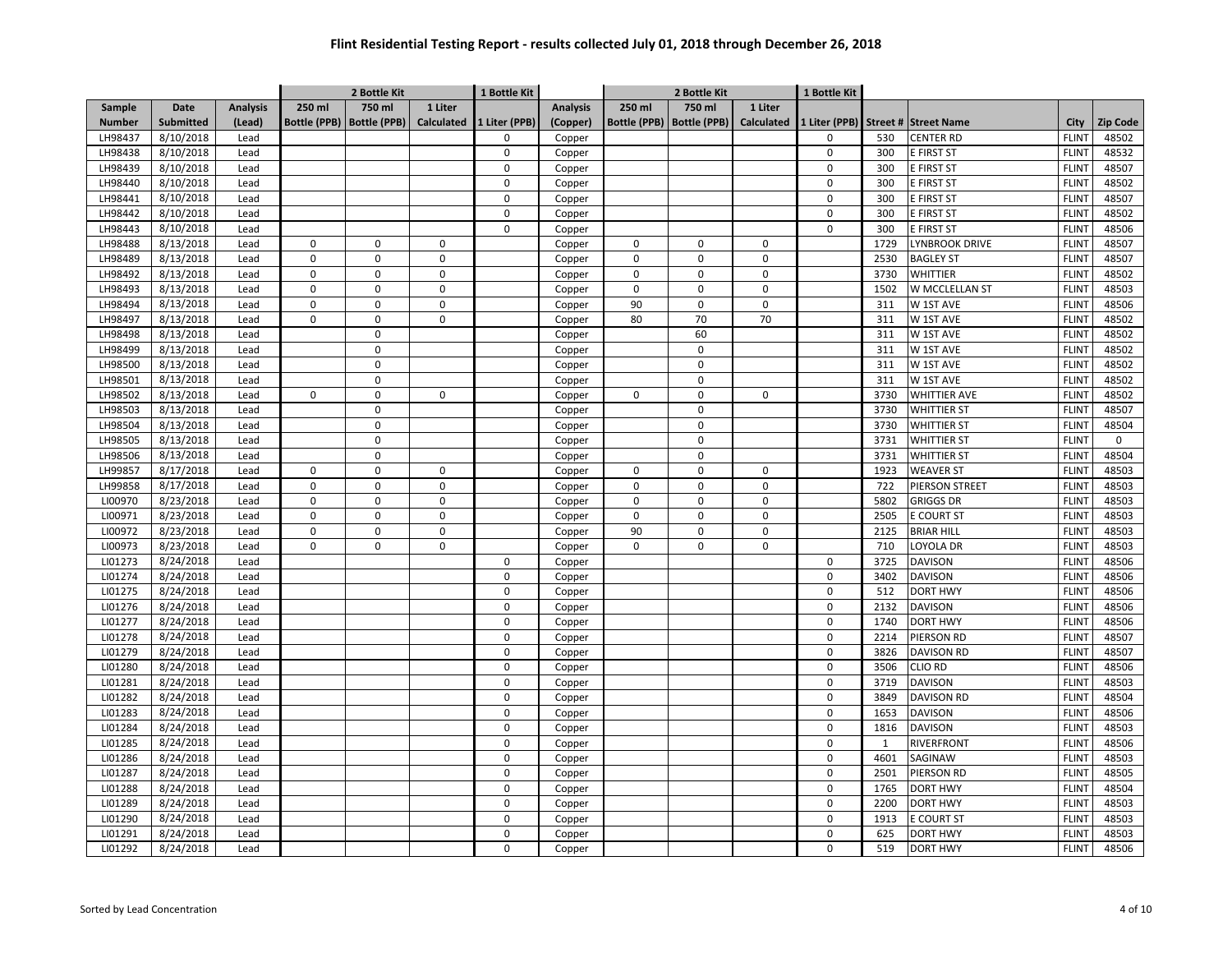|               |                  |                 |                     | 2 Bottle Kit        |             | 1 Bottle Kit  |                 | 2 Bottle Kit        |                     | 1 Bottle Kit |               |              |                      |              |          |
|---------------|------------------|-----------------|---------------------|---------------------|-------------|---------------|-----------------|---------------------|---------------------|--------------|---------------|--------------|----------------------|--------------|----------|
| Sample        | Date             | <b>Analysis</b> | 250 ml              | 750 ml              | 1 Liter     |               | <b>Analysis</b> | 250 ml              | 750 ml              | 1 Liter      |               |              |                      |              |          |
| <b>Number</b> | <b>Submitted</b> | (Lead)          | <b>Bottle (PPB)</b> | <b>Bottle (PPB)</b> | Calculated  | 1 Liter (PPB) | (Copper)        | <b>Bottle (PPB)</b> | <b>Bottle (PPB)</b> | Calculated   | 1 Liter (PPB) |              | Street # Street Name | City         | Zip Code |
| LH98437       | 8/10/2018        | Lead            |                     |                     |             | $\Omega$      | Copper          |                     |                     |              | 0             | 530          | <b>CENTER RD</b>     | <b>FLINT</b> | 48502    |
| LH98438       | 8/10/2018        | Lead            |                     |                     |             | $\mathbf 0$   | Copper          |                     |                     |              | $\pmb{0}$     | 300          | E FIRST ST           | <b>FLINT</b> | 48532    |
| LH98439       | 8/10/2018        | Lead            |                     |                     |             | $\mathbf{0}$  | Copper          |                     |                     |              | $\mathbf 0$   | 300          | E FIRST ST           | <b>FLINT</b> | 48507    |
| LH98440       | 8/10/2018        | Lead            |                     |                     |             | $\mathbf 0$   | Copper          |                     |                     |              | 0             | 300          | E FIRST ST           | <b>FLINT</b> | 48502    |
| LH98441       | 8/10/2018        | Lead            |                     |                     |             | $\mathbf 0$   | Copper          |                     |                     |              | 0             | 300          | E FIRST ST           | <b>FLINT</b> | 48507    |
| LH98442       | 8/10/2018        | Lead            |                     |                     |             | 0             | Copper          |                     |                     |              | 0             | 300          | E FIRST ST           | <b>FLINT</b> | 48502    |
| LH98443       | 8/10/2018        | Lead            |                     |                     |             | $\mathbf 0$   | Copper          |                     |                     |              | 0             | 300          | E FIRST ST           | <b>FLINT</b> | 48506    |
| LH98488       | 8/13/2018        | Lead            | $\Omega$            | $\mathbf 0$         | $\mathbf 0$ |               | Copper          | $\Omega$            | $\mathbf 0$         | 0            |               | 1729         | LYNBROOK DRIVE       | <b>FLINT</b> | 48507    |
| LH98489       | 8/13/2018        | Lead            | $\Omega$            | $\mathbf 0$         | $\mathbf 0$ |               | Copper          | $\Omega$            | $\mathbf 0$         | 0            |               | 2530         | <b>BAGLEY ST</b>     | <b>FLINT</b> | 48507    |
| LH98492       | 8/13/2018        | Lead            | $\Omega$            | $\Omega$            | $\mathbf 0$ |               | Copper          | $\Omega$            | $\mathbf 0$         | 0            |               | 3730         | <b>WHITTIER</b>      | <b>FLINT</b> | 48502    |
| LH98493       | 8/13/2018        | Lead            | $\Omega$            | $\mathbf 0$         | $\mathbf 0$ |               | Copper          | $\mathbf 0$         | $\mathbf 0$         | 0            |               | 1502         | W MCCLELLAN ST       | <b>FLINT</b> | 48503    |
| LH98494       | 8/13/2018        | Lead            | 0                   | $\mathbf 0$         | $\pmb{0}$   |               | Copper          | 90                  | $\mathbf 0$         | 0            |               | 311          | W 1ST AVE            | <b>FLINT</b> | 48506    |
| LH98497       | 8/13/2018        | Lead            | $\mathbf 0$         | $\mathbf 0$         | $\mathbf 0$ |               | Copper          | 80                  | 70                  | 70           |               | 311          | W 1ST AVE            | <b>FLINT</b> | 48502    |
| LH98498       | 8/13/2018        | Lead            |                     | $\mathbf 0$         |             |               | Copper          |                     | 60                  |              |               | 311          | W 1ST AVE            | <b>FLINT</b> | 48502    |
| LH98499       | 8/13/2018        | Lead            |                     | $\mathbf 0$         |             |               | Copper          |                     | $\mathsf 0$         |              |               | 311          | W 1ST AVE            | <b>FLINT</b> | 48502    |
| LH98500       | 8/13/2018        | Lead            |                     | $\mathbf 0$         |             |               | Copper          |                     | $\Omega$            |              |               | 311          | W 1ST AVE            | <b>FLINT</b> | 48502    |
| LH98501       | 8/13/2018        | Lead            |                     | $\mathbf 0$         |             |               | Copper          |                     | $\mathbf 0$         |              |               | 311          | W 1ST AVE            | <b>FLINT</b> | 48502    |
| LH98502       | 8/13/2018        | Lead            | 0                   | $\mathbf 0$         | $\mathbf 0$ |               | Copper          | $\mathbf 0$         | $\mathbf 0$         | 0            |               | 3730         | <b>WHITTIER AVE</b>  | <b>FLINT</b> | 48502    |
| LH98503       | 8/13/2018        | Lead            |                     | $\mathbf 0$         |             |               | Copper          |                     | $\mathbf 0$         |              |               | 3730         | <b>WHITTIER ST</b>   | <b>FLINT</b> | 48507    |
| LH98504       | 8/13/2018        | Lead            |                     | $\mathbf 0$         |             |               | Copper          |                     | $\mathsf 0$         |              |               | 3730         | <b>WHITTIER ST</b>   | <b>FLINT</b> | 48504    |
| LH98505       | 8/13/2018        | Lead            |                     | $\mathbf 0$         |             |               | Copper          |                     | $\mathbf 0$         |              |               | 3731         | <b>WHITTIER ST</b>   | <b>FLINT</b> | 0        |
| LH98506       | 8/13/2018        | Lead            |                     | $\mathbf 0$         |             |               | Copper          |                     | $\Omega$            |              |               | 3731         | <b>WHITTIER ST</b>   | <b>FLINT</b> | 48504    |
| LH99857       | 8/17/2018        | Lead            | $\mathbf 0$         | $\mathbf 0$         | $\mathsf 0$ |               | Copper          | $\mathbf 0$         | $\mathbf 0$         | 0            |               | 1923         | <b>WEAVER ST</b>     | <b>FLINT</b> | 48503    |
| LH99858       | 8/17/2018        | Lead            | $\Omega$            | $\mathbf 0$         | $\mathbf 0$ |               | Copper          | $\Omega$            | $\mathbf 0$         | 0            |               | 722          | PIERSON STREET       | <b>FLINT</b> | 48503    |
| LI00970       | 8/23/2018        | Lead            | 0                   | $\mathbf 0$         | $\mathsf 0$ |               | Copper          | $\mathbf 0$         | $\mathbf 0$         | 0            |               | 5802         | <b>GRIGGS DR</b>     | <b>FLINT</b> | 48503    |
| LI00971       | 8/23/2018        | Lead            | 0                   | $\mathbf 0$         | $\mathbf 0$ |               | Copper          | $\mathbf 0$         | $\mathbf 0$         | 0            |               | 2505         | <b>E COURT ST</b>    | <b>FLINT</b> | 48503    |
| LI00972       | 8/23/2018        | Lead            | 0                   | $\mathbf 0$         | $\mathbf 0$ |               | Copper          | 90                  | $\mathsf 0$         | 0            |               | 2125         | <b>BRIAR HILL</b>    | <b>FLINT</b> | 48503    |
| LI00973       | 8/23/2018        | Lead            | 0                   | $\mathbf 0$         | $\mathbf 0$ |               | Copper          | $\mathbf 0$         | $\mathbf 0$         | 0            |               | 710          | LOYOLA DR            | <b>FLINT</b> | 48503    |
| LI01273       | 8/24/2018        | Lead            |                     |                     |             | 0             | Copper          |                     |                     |              | 0             | 3725         | <b>DAVISON</b>       | <b>FLINT</b> | 48506    |
| LI01274       | 8/24/2018        | Lead            |                     |                     |             | $\mathsf 0$   | Copper          |                     |                     |              | 0             | 3402         | <b>DAVISON</b>       | <b>FLINT</b> | 48506    |
| LI01275       | 8/24/2018        | Lead            |                     |                     |             | $\mathbf 0$   | Copper          |                     |                     |              | 0             | 512          | <b>DORT HWY</b>      | <b>FLINT</b> | 48506    |
| LI01276       | 8/24/2018        | Lead            |                     |                     |             | $\mathbf 0$   | Copper          |                     |                     |              | 0             | 2132         | <b>DAVISON</b>       | <b>FLINT</b> | 48506    |
| LI01277       | 8/24/2018        | Lead            |                     |                     |             | $\mathbf 0$   | Copper          |                     |                     |              | 0             | 1740         | <b>DORT HWY</b>      | <b>FLINT</b> | 48506    |
| LI01278       | 8/24/2018        | Lead            |                     |                     |             | $\mathbf 0$   | Copper          |                     |                     |              | 0             | 2214         | PIERSON RD           | <b>FLINT</b> | 48507    |
| LI01279       | 8/24/2018        | Lead            |                     |                     |             | $\mathbf 0$   | Copper          |                     |                     |              | 0             | 3826         | DAVISON RD           | <b>FLINT</b> | 48507    |
| LI01280       | 8/24/2018        | Lead            |                     |                     |             | $\Omega$      | Copper          |                     |                     |              | 0             | 3506         | <b>CLIO RD</b>       | <b>FLINT</b> | 48506    |
| LI01281       | 8/24/2018        | Lead            |                     |                     |             | $\Omega$      | Copper          |                     |                     |              | 0             | 3719         | <b>DAVISON</b>       | <b>FLINT</b> | 48503    |
| LI01282       | 8/24/2018        | Lead            |                     |                     |             | $\Omega$      | Copper          |                     |                     |              | 0             | 3849         | <b>DAVISON RD</b>    | <b>FLINT</b> | 48504    |
| LI01283       | 8/24/2018        | Lead            |                     |                     |             | $\mathbf 0$   | Copper          |                     |                     |              | 0             | 1653         | <b>DAVISON</b>       | <b>FLINT</b> | 48506    |
| LI01284       | 8/24/2018        | Lead            |                     |                     |             | $\mathbf 0$   | Copper          |                     |                     |              | 0             | 1816         | <b>DAVISON</b>       | <b>FLINT</b> | 48503    |
| LI01285       | 8/24/2018        | Lead            |                     |                     |             | $\mathbf 0$   | Copper          |                     |                     |              | 0             | $\mathbf{1}$ | RIVERFRONT           | <b>FLINT</b> | 48506    |
| LI01286       | 8/24/2018        | Lead            |                     |                     |             | $\mathsf 0$   | Copper          |                     |                     |              | 0             | 4601         | SAGINAW              | <b>FLINT</b> | 48503    |
| LI01287       | 8/24/2018        | Lead            |                     |                     |             | $\mathbf 0$   | Copper          |                     |                     |              | $\pmb{0}$     | 2501         | PIERSON RD           | <b>FLINT</b> | 48505    |
| LI01288       | 8/24/2018        | Lead            |                     |                     |             | $\Omega$      | Copper          |                     |                     |              | 0             | 1765         | <b>DORT HWY</b>      | <b>FLINT</b> | 48504    |
| LI01289       | 8/24/2018        | Lead            |                     |                     |             | $\mathbf 0$   | Copper          |                     |                     |              | 0             | 2200         | <b>DORT HWY</b>      | <b>FLINT</b> | 48503    |
| LI01290       | 8/24/2018        | Lead            |                     |                     |             | $\mathbf 0$   | Copper          |                     |                     |              | 0             | 1913         | E COURT ST           | <b>FLINT</b> | 48503    |
| LI01291       | 8/24/2018        | Lead            |                     |                     |             | 0             | Copper          |                     |                     |              | 0             | 625          | <b>DORT HWY</b>      | <b>FLINT</b> | 48503    |
| LI01292       | 8/24/2018        | Lead            |                     |                     |             | $\mathbf 0$   | Copper          |                     |                     |              | 0             | 519          | <b>DORT HWY</b>      | <b>FLINT</b> | 48506    |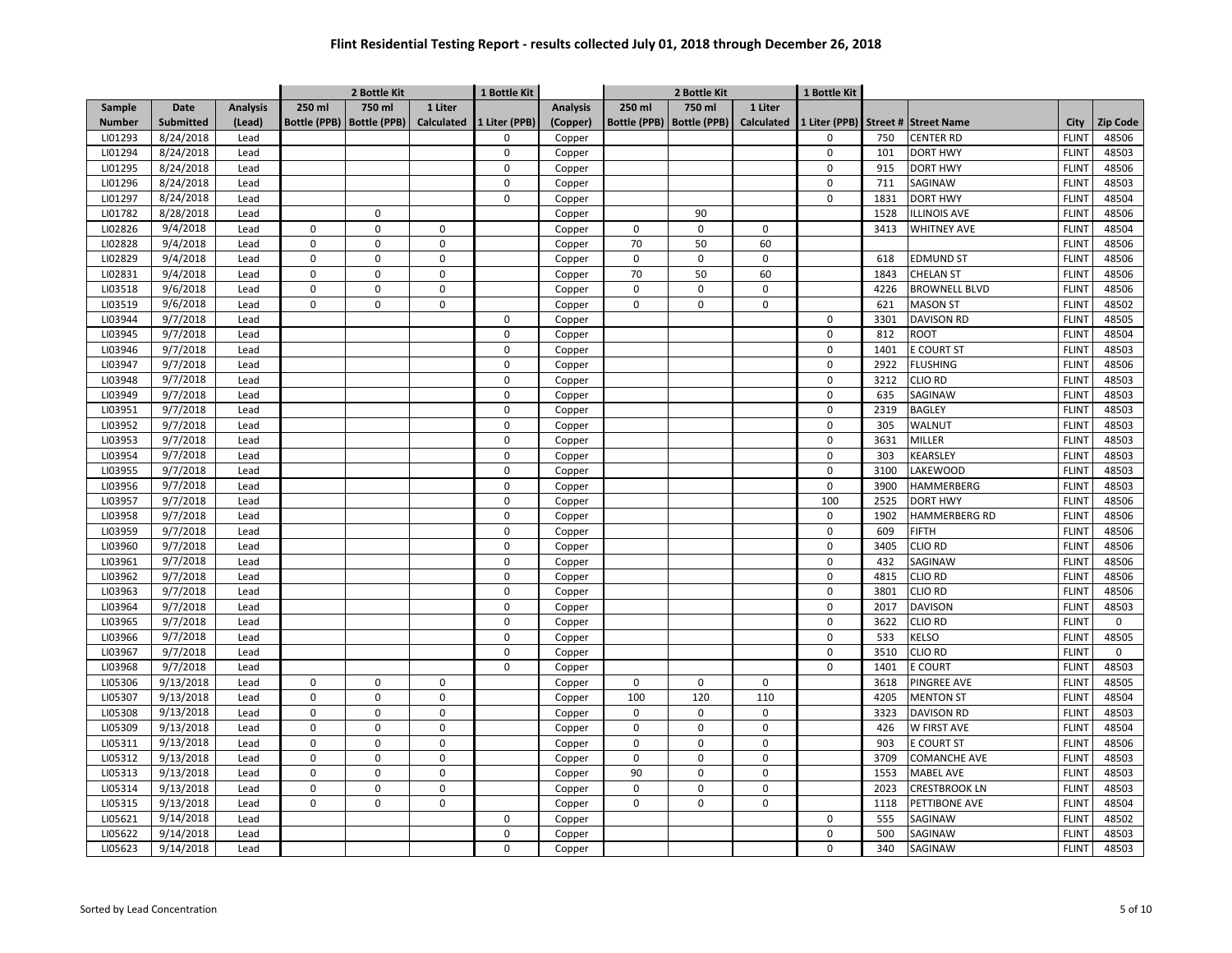|               |                  |                 |                     | 2 Bottle Kit        |             | 1 Bottle Kit  |                 | 2 Bottle Kit        |                     | 1 Bottle Kit      |               |      |                      |              |                 |
|---------------|------------------|-----------------|---------------------|---------------------|-------------|---------------|-----------------|---------------------|---------------------|-------------------|---------------|------|----------------------|--------------|-----------------|
| Sample        | Date             | <b>Analysis</b> | 250 ml              | 750 ml              | 1 Liter     |               | <b>Analysis</b> | 250 ml              | 750 ml              | 1 Liter           |               |      |                      |              |                 |
| <b>Number</b> | <b>Submitted</b> | (Lead)          | <b>Bottle (PPB)</b> | <b>Bottle (PPB)</b> | Calculated  | 1 Liter (PPB) | (Copper)        | <b>Bottle (PPB)</b> | <b>Bottle (PPB)</b> | <b>Calculated</b> | 1 Liter (PPB) |      | Street # Street Name | City         | <b>Zip Code</b> |
| LI01293       | 8/24/2018        | Lead            |                     |                     |             | $\Omega$      | Copper          |                     |                     |                   | $\Omega$      | 750  | <b>CENTER RD</b>     | <b>FLINT</b> | 48506           |
| LI01294       | 8/24/2018        | Lead            |                     |                     |             | $\mathbf 0$   | Copper          |                     |                     |                   | $\pmb{0}$     | 101  | <b>DORT HWY</b>      | <b>FLINT</b> | 48503           |
| LI01295       | 8/24/2018        | Lead            |                     |                     |             | $\Omega$      | Copper          |                     |                     |                   | $\mathbf 0$   | 915  | <b>DORT HWY</b>      | <b>FLINT</b> | 48506           |
| LI01296       | 8/24/2018        | Lead            |                     |                     |             | $\mathbf 0$   | Copper          |                     |                     |                   | $\pmb{0}$     | 711  | SAGINAW              | <b>FLINT</b> | 48503           |
| LI01297       | 8/24/2018        | Lead            |                     |                     |             | $\mathbf 0$   | Copper          |                     |                     |                   | $\mathbf 0$   | 1831 | <b>DORT HWY</b>      | <b>FLINT</b> | 48504           |
| LI01782       | 8/28/2018        | Lead            |                     | $\mathsf 0$         |             |               | Copper          |                     | 90                  |                   |               | 1528 | <b>ILLINOIS AVE</b>  | <b>FLINT</b> | 48506           |
| LI02826       | 9/4/2018         | Lead            | $\mathbf 0$         | $\mathbf 0$         | 0           |               | Copper          | $\mathbf 0$         | $\mathbf 0$         | $\mathbf 0$       |               | 3413 | <b>WHITNEY AVE</b>   | <b>FLINT</b> | 48504           |
| LI02828       | 9/4/2018         | Lead            | $\mathbf 0$         | $\mathbf 0$         | 0           |               | Copper          | 70                  | 50                  | 60                |               |      |                      | <b>FLINT</b> | 48506           |
| LI02829       | 9/4/2018         | Lead            | $\mathbf 0$         | $\mathbf 0$         | $\Omega$    |               | Copper          | $\mathbf 0$         | $\mathbf 0$         | 0                 |               | 618  | <b>EDMUND ST</b>     | <b>FLINT</b> | 48506           |
| LI02831       | 9/4/2018         | Lead            | $\mathbf 0$         | $\mathbf 0$         | 0           |               | Copper          | 70                  | 50                  | 60                |               | 1843 | <b>CHELAN ST</b>     | <b>FLINT</b> | 48506           |
| LI03518       | 9/6/2018         | Lead            | $\mathbf 0$         | $\mathbf 0$         | 0           |               | Copper          | $\mathbf 0$         | $\mathbf 0$         | $\mathbf 0$       |               | 4226 | <b>BROWNELL BLVD</b> | <b>FLINT</b> | 48506           |
| LI03519       | 9/6/2018         | Lead            | $\mathbf 0$         | $\mathbf 0$         | $\mathsf 0$ |               | Copper          | $\mathbf 0$         | $\pmb{0}$           | 0                 |               | 621  | <b>MASON ST</b>      | <b>FLINT</b> | 48502           |
| LI03944       | 9/7/2018         | Lead            |                     |                     |             | $\mathbf 0$   | Copper          |                     |                     |                   | $\mathbf 0$   | 3301 | <b>DAVISON RD</b>    | <b>FLINT</b> | 48505           |
| LI03945       | 9/7/2018         | Lead            |                     |                     |             | $\mathbf 0$   | Copper          |                     |                     |                   | $\pmb{0}$     | 812  | <b>ROOT</b>          | <b>FLINT</b> | 48504           |
| LI03946       | 9/7/2018         | Lead            |                     |                     |             | $\mathbf 0$   | Copper          |                     |                     |                   | $\pmb{0}$     | 1401 | <b>E COURT ST</b>    | <b>FLINT</b> | 48503           |
| LI03947       | 9/7/2018         | Lead            |                     |                     |             | $\mathbf 0$   | Copper          |                     |                     |                   | $\mathbf 0$   | 2922 | <b>FLUSHING</b>      | <b>FLINT</b> | 48506           |
| LI03948       | 9/7/2018         | Lead            |                     |                     |             | $\mathbf 0$   | Copper          |                     |                     |                   | $\pmb{0}$     | 3212 | <b>CLIO RD</b>       | <b>FLINT</b> | 48503           |
| LI03949       | 9/7/2018         | Lead            |                     |                     |             | $\mathbf 0$   | Copper          |                     |                     |                   | $\pmb{0}$     | 635  | SAGINAW              | <b>FLINT</b> | 48503           |
| LI03951       | 9/7/2018         | Lead            |                     |                     |             | $\mathbf 0$   | Copper          |                     |                     |                   | $\mathbf 0$   | 2319 | <b>BAGLEY</b>        | <b>FLINT</b> | 48503           |
| LI03952       | 9/7/2018         | Lead            |                     |                     |             | $\mathbf 0$   | Copper          |                     |                     |                   | $\pmb{0}$     | 305  | WALNUT               | <b>FLINT</b> | 48503           |
| LI03953       | 9/7/2018         | Lead            |                     |                     |             | $\Omega$      | Copper          |                     |                     |                   | $\Omega$      | 3631 | <b>MILLER</b>        | <b>FLINT</b> | 48503           |
| LI03954       | 9/7/2018         | Lead            |                     |                     |             | $\Omega$      | Copper          |                     |                     |                   | $\mathbf 0$   | 303  | KEARSLEY             | <b>FLINT</b> | 48503           |
| LI03955       | 9/7/2018         | Lead            |                     |                     |             | $\Omega$      | Copper          |                     |                     |                   | $\mathbf 0$   | 3100 | <b>LAKEWOOD</b>      | <b>FLINT</b> | 48503           |
| LI03956       | 9/7/2018         | Lead            |                     |                     |             | $\mathbf 0$   | Copper          |                     |                     |                   | $\pmb{0}$     | 3900 | <b>HAMMERBERG</b>    | <b>FLINT</b> | 48503           |
| LI03957       | 9/7/2018         | Lead            |                     |                     |             | $\mathbf 0$   | Copper          |                     |                     |                   | 100           | 2525 | <b>DORT HWY</b>      | <b>FLINT</b> | 48506           |
| LI03958       | 9/7/2018         | Lead            |                     |                     |             | $\mathbf 0$   | Copper          |                     |                     |                   | $\pmb{0}$     | 1902 | <b>HAMMERBERG RD</b> | <b>FLINT</b> | 48506           |
| LI03959       | 9/7/2018         | Lead            |                     |                     |             | $\Omega$      | Copper          |                     |                     |                   | $\mathbf 0$   | 609  | <b>FIFTH</b>         | <b>FLINT</b> | 48506           |
| LI03960       | 9/7/2018         | Lead            |                     |                     |             | $\mathbf 0$   | Copper          |                     |                     |                   | $\pmb{0}$     | 3405 | <b>CLIO RD</b>       | <b>FLINT</b> | 48506           |
| LI03961       | 9/7/2018         | Lead            |                     |                     |             | $\Omega$      | Copper          |                     |                     |                   | $\mathbf 0$   | 432  | SAGINAW              | <b>FLINT</b> | 48506           |
| LI03962       | 9/7/2018         | Lead            |                     |                     |             | $\mathbf 0$   | Copper          |                     |                     |                   | $\pmb{0}$     | 4815 | <b>CLIO RD</b>       | <b>FLINT</b> | 48506           |
| LI03963       | 9/7/2018         | Lead            |                     |                     |             | $\mathbf 0$   | Copper          |                     |                     |                   | $\mathbf 0$   | 3801 | <b>CLIO RD</b>       | <b>FLINT</b> | 48506           |
| LI03964       | 9/7/2018         | Lead            |                     |                     |             | $\mathbf 0$   | Copper          |                     |                     |                   | $\pmb{0}$     | 2017 | <b>DAVISON</b>       | <b>FLINT</b> | 48503           |
| LI03965       | 9/7/2018         | Lead            |                     |                     |             | $\mathbf 0$   | Copper          |                     |                     |                   | $\pmb{0}$     | 3622 | <b>CLIO RD</b>       | <b>FLINT</b> | $\mathbf 0$     |
| LI03966       | 9/7/2018         | Lead            |                     |                     |             | $\Omega$      | Copper          |                     |                     |                   | $\pmb{0}$     | 533  | <b>ELSO</b>          | <b>FLINT</b> | 48505           |
| LI03967       | 9/7/2018         | Lead            |                     |                     |             | $\Omega$      | Copper          |                     |                     |                   | $\mathbf 0$   | 3510 | CLIO RD              | <b>FLINT</b> | 0               |
| LI03968       | 9/7/2018         | Lead            |                     |                     |             | $\Omega$      | Copper          |                     |                     |                   | $\Omega$      | 1401 | E COURT              | <b>FLINT</b> | 48503           |
| LI05306       | 9/13/2018        | Lead            | $\mathbf 0$         | $\mathbf 0$         | $\mathbf 0$ |               | Copper          | $\mathbf 0$         | $\mathbf 0$         | $\mathbf 0$       |               | 3618 | <b>PINGREE AVE</b>   | <b>FLINT</b> | 48505           |
| LI05307       | 9/13/2018        | Lead            | $\mathbf 0$         | $\mathbf 0$         | $\mathsf 0$ |               | Copper          | 100                 | 120                 | 110               |               | 4205 | <b>MENTON ST</b>     | <b>FLINT</b> | 48504           |
| LI05308       | 9/13/2018        | Lead            | $\mathbf 0$         | $\mathsf 0$         | 0           |               | Copper          | $\mathbf 0$         | $\mathbf 0$         | 0                 |               | 3323 | <b>DAVISON RD</b>    | <b>FLINT</b> | 48503           |
| LI05309       | 9/13/2018        | Lead            | $\mathbf 0$         | $\mathbf 0$         | 0           |               | Copper          | $\mathsf 0$         | $\pmb{0}$           | 0                 |               | 426  | W FIRST AVE          | <b>FLINT</b> | 48504           |
| LI05311       | 9/13/2018        | Lead            | $\mathbf 0$         | $\mathbf 0$         | $\mathbf 0$ |               | Copper          | $\mathbf 0$         | $\mathbf 0$         | 0                 |               | 903  | <b>E COURT ST</b>    | <b>FLINT</b> | 48506           |
| LI05312       | 9/13/2018        | Lead            | $\pmb{0}$           | $\mathbf 0$         | 0           |               | Copper          | $\mathsf 0$         | $\pmb{0}$           | 0                 |               | 3709 | <b>COMANCHE AVE</b>  | <b>FLINT</b> | 48503           |
| LI05313       | 9/13/2018        | Lead            | $\mathbf 0$         | $\mathbf 0$         | $\mathbf 0$ |               | Copper          | 90                  | $\mathbf 0$         | 0                 |               | 1553 | <b>MABEL AVE</b>     | <b>FLINT</b> | 48503           |
| LI05314       | 9/13/2018        | Lead            | $\mathbf 0$         | $\mathbf 0$         | $\mathbf 0$ |               | Copper          | $\mathbf 0$         | $\mathbf 0$         | 0                 |               | 2023 | <b>CRESTBROOK LN</b> | <b>FLINT</b> | 48503           |
| LI05315       | 9/13/2018        | Lead            | $\mathsf 0$         | $\mathbf 0$         | $\mathbf 0$ |               | Copper          | 0                   | $\mathbf 0$         | 0                 |               | 1118 | PETTIBONE AVE        | <b>FLINT</b> | 48504           |
| LI05621       | 9/14/2018        | Lead            |                     |                     |             | 0             | Copper          |                     |                     |                   | $\pmb{0}$     | 555  | SAGINAW              | <b>FLINT</b> | 48502           |
| LI05622       | 9/14/2018        | Lead            |                     |                     |             | $\mathbf 0$   | Copper          |                     |                     |                   | $\mathbf 0$   | 500  | <b>SAGINAW</b>       | <b>FLINT</b> | 48503           |
| LI05623       | 9/14/2018        | Lead            |                     |                     |             | $\mathbf 0$   | Copper          |                     |                     |                   | $\Omega$      | 340  | SAGINAW              | <b>FLINT</b> | 48503           |
|               |                  |                 |                     |                     |             |               |                 |                     |                     |                   |               |      |                      |              |                 |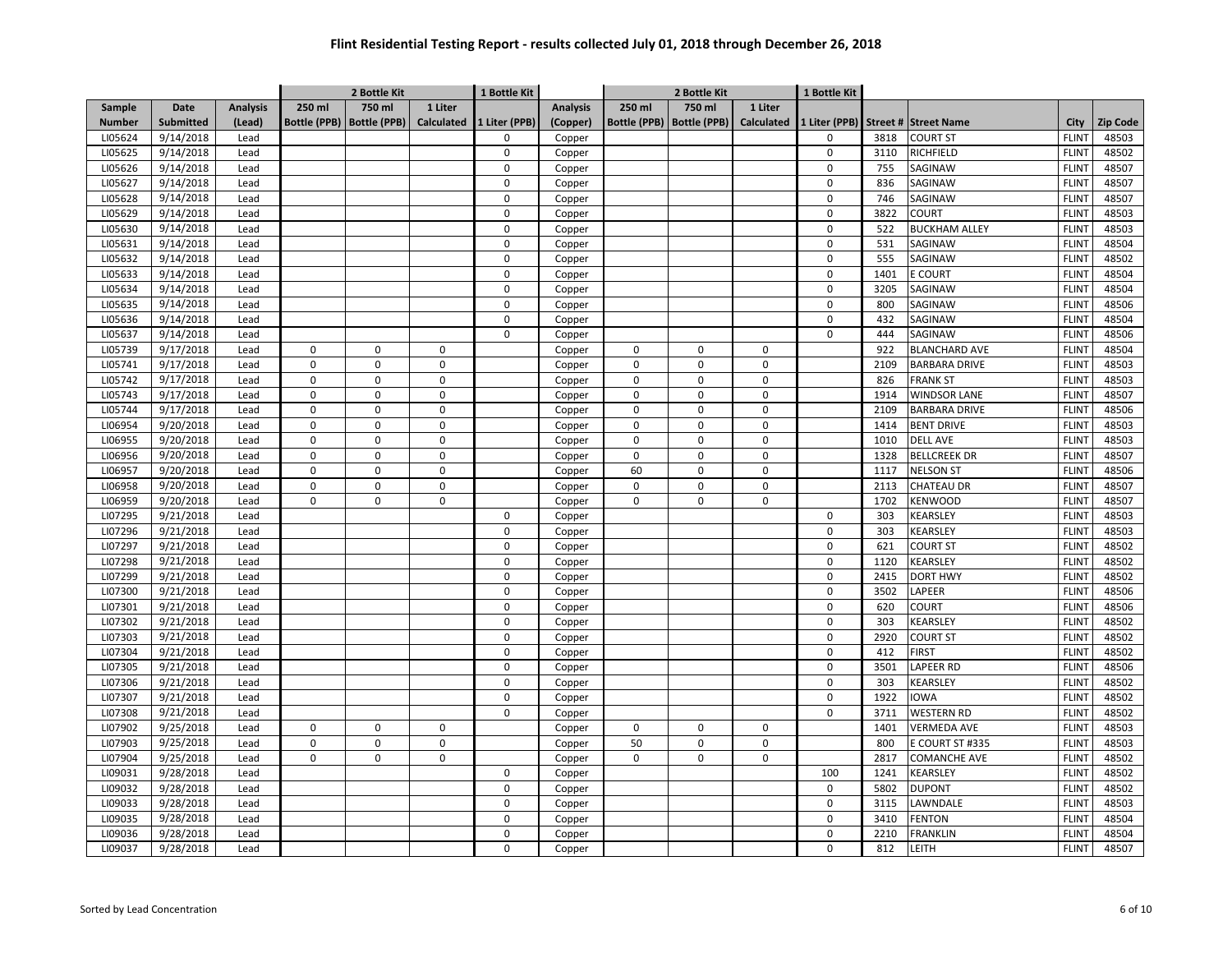|               |                  |                 |                     | 2 Bottle Kit        |             | 1 Bottle Kit  |                 | 2 Bottle Kit        |                     |            | 1 Bottle Kit  |      |                      |              |                 |
|---------------|------------------|-----------------|---------------------|---------------------|-------------|---------------|-----------------|---------------------|---------------------|------------|---------------|------|----------------------|--------------|-----------------|
| Sample        | Date             | <b>Analysis</b> | 250 ml              | 750 ml              | 1 Liter     |               | <b>Analysis</b> | 250 ml              | 750 ml              | 1 Liter    |               |      |                      |              |                 |
| <b>Number</b> | <b>Submitted</b> | (Lead)          | <b>Bottle (PPB)</b> | <b>Bottle (PPB)</b> | Calculated  | 1 Liter (PPB) | (Copper)        | <b>Bottle (PPB)</b> | <b>Bottle (PPB)</b> | Calculated | 1 Liter (PPB) |      | Street # Street Name | City         | <b>Zip Code</b> |
| LI05624       | 9/14/2018        | Lead            |                     |                     |             | $\Omega$      | Copper          |                     |                     |            | $\Omega$      | 3818 | COURT ST             | <b>FLINT</b> | 48503           |
| LI05625       | 9/14/2018        | Lead            |                     |                     |             | $\mathbf 0$   | Copper          |                     |                     |            | 0             | 3110 | RICHFIELD            | <b>FLINT</b> | 48502           |
| LI05626       | 9/14/2018        | Lead            |                     |                     |             | $\mathbf 0$   | Copper          |                     |                     |            | $\mathbf 0$   | 755  | SAGINAW              | <b>FLINT</b> | 48507           |
| LI05627       | 9/14/2018        | Lead            |                     |                     |             | $\mathbf 0$   | Copper          |                     |                     |            | 0             | 836  | SAGINAW              | <b>FLINT</b> | 48507           |
| LI05628       | 9/14/2018        | Lead            |                     |                     |             | $\mathbf 0$   | Copper          |                     |                     |            | $\mathbf 0$   | 746  | SAGINAW              | <b>FLINT</b> | 48507           |
| LI05629       | 9/14/2018        | Lead            |                     |                     |             | $\mathbf 0$   | Copper          |                     |                     |            | 0             | 3822 | COURT                | <b>FLINT</b> | 48503           |
| LI05630       | 9/14/2018        | Lead            |                     |                     |             | $\mathbf 0$   | Copper          |                     |                     |            | $\mathbf 0$   | 522  | <b>BUCKHAM ALLEY</b> | <b>FLINT</b> | 48503           |
| LI05631       | 9/14/2018        | Lead            |                     |                     |             | $\mathbf 0$   | Copper          |                     |                     |            | $\mathbf 0$   | 531  | SAGINAW              | <b>FLINT</b> | 48504           |
| LI05632       | 9/14/2018        | Lead            |                     |                     |             | $\mathbf 0$   | Copper          |                     |                     |            | $\mathbf 0$   | 555  | SAGINAW              | <b>FLINT</b> | 48502           |
| LI05633       | 9/14/2018        | Lead            |                     |                     |             | $\mathbf 0$   | Copper          |                     |                     |            | 0             | 1401 | <b>E COURT</b>       | <b>FLINT</b> | 48504           |
| LI05634       | 9/14/2018        | Lead            |                     |                     |             | $\mathbf 0$   | Copper          |                     |                     |            | $\mathbf 0$   | 3205 | SAGINAW              | <b>FLINT</b> | 48504           |
| LI05635       | 9/14/2018        | Lead            |                     |                     |             | $\mathbf 0$   | Copper          |                     |                     |            | 0             | 800  | SAGINAW              | <b>FLINT</b> | 48506           |
| LI05636       | 9/14/2018        | Lead            |                     |                     |             | $\mathbf 0$   | Copper          |                     |                     |            | 0             | 432  | SAGINAW              | <b>FLINT</b> | 48504           |
| LI05637       | 9/14/2018        | Lead            |                     |                     |             | $\mathbf 0$   | Copper          |                     |                     |            | 0             | 444  | SAGINAW              | <b>FLINT</b> | 48506           |
| LI05739       | 9/17/2018        | Lead            | 0                   | $\mathsf 0$         | $\mathsf 0$ |               | Copper          | 0                   | 0                   | 0          |               | 922  | <b>BLANCHARD AVE</b> | <b>FLINT</b> | 48504           |
| LI05741       | 9/17/2018        | Lead            | $\mathbf 0$         | $\mathbf 0$         | $\mathbf 0$ |               | Copper          | $\mathbf 0$         | $\mathbf 0$         | 0          |               | 2109 | <b>BARBARA DRIVE</b> | <b>FLINT</b> | 48503           |
| LI05742       | 9/17/2018        | Lead            | $\pmb{0}$           | $\mathsf 0$         | $\mathbf 0$ |               | Copper          | $\mathbf 0$         | $\mathbf 0$         | 0          |               | 826  | <b>FRANK ST</b>      | <b>FLINT</b> | 48503           |
| LI05743       | 9/17/2018        | Lead            | $\pmb{0}$           | $\mathsf 0$         | 0           |               | Copper          | $\mathbf 0$         | $\mathsf 0$         | 0          |               | 1914 | WINDSOR LANE         | <b>FLINT</b> | 48507           |
| LI05744       | 9/17/2018        | Lead            | $\pmb{0}$           | $\mathbf 0$         | 0           |               | Copper          | $\mathbf 0$         | $\mathbf 0$         | 0          |               | 2109 | <b>BARBARA DRIVE</b> | <b>FLINT</b> | 48506           |
| LI06954       | 9/20/2018        | Lead            | $\mathbf 0$         | $\mathbf 0$         | 0           |               | Copper          | $\mathbf 0$         | $\mathbf 0$         | 0          |               | 1414 | <b>BENT DRIVE</b>    | <b>FLINT</b> | 48503           |
| LI06955       | 9/20/2018        | Lead            | $\mathbf 0$         | $\mathbf 0$         | 0           |               | Copper          | $\Omega$            | $\mathbf 0$         | 0          |               | 1010 | <b>DELL AVE</b>      | <b>FLINT</b> | 48503           |
| LI06956       | 9/20/2018        | Lead            | $\mathbf 0$         | $\mathbf 0$         | 0           |               | Copper          | $\mathbf 0$         | $\mathbf 0$         | 0          |               | 1328 | <b>BELLCREEK DR</b>  | <b>FLINT</b> | 48507           |
| LI06957       | 9/20/2018        | Lead            | $\mathbf 0$         | $\mathbf 0$         | 0           |               | Copper          | 60                  | $\mathbf 0$         | 0          |               | 1117 | NELSON ST            | <b>FLINT</b> | 48506           |
| LI06958       | 9/20/2018        | Lead            | $\mathbf 0$         | $\mathbf 0$         | $\mathsf 0$ |               | Copper          | $\mathbf 0$         | $\mathbf 0$         | 0          |               | 2113 | CHATEAU DR           | <b>FLINT</b> | 48507           |
| LI06959       | 9/20/2018        | Lead            | $\mathbf 0$         | $\mathbf 0$         | 0           |               | Copper          | $\mathbf 0$         | $\mathbf 0$         | 0          |               | 1702 | KENWOOD              | <b>FLINT</b> | 48507           |
| LI07295       | 9/21/2018        | Lead            |                     |                     |             | 0             | Copper          |                     |                     |            | 0             | 303  | <b>CEARSLEY</b>      | <b>FLINT</b> | 48503           |
| LI07296       | 9/21/2018        | Lead            |                     |                     |             | $\mathbf 0$   | Copper          |                     |                     |            | $\mathbf 0$   | 303  | KEARSLEY             | <b>FLINT</b> | 48503           |
| LI07297       | 9/21/2018        | Lead            |                     |                     |             | 0             | Copper          |                     |                     |            | 0             | 621  | COURT ST             | <b>FLINT</b> | 48502           |
| LI07298       | 9/21/2018        | Lead            |                     |                     |             | $\Omega$      | Copper          |                     |                     |            | $\mathbf 0$   | 1120 | KEARSLEY             | <b>FLINT</b> | 48502           |
| LI07299       | 9/21/2018        | Lead            |                     |                     |             | $\mathbf 0$   | Copper          |                     |                     |            | 0             | 2415 | <b>DORT HWY</b>      | <b>FLINT</b> | 48502           |
| LI07300       | 9/21/2018        | Lead            |                     |                     |             | $\mathbf 0$   | Copper          |                     |                     |            | $\mathbf 0$   | 3502 | APEER                | <b>FLINT</b> | 48506           |
| LI07301       | 9/21/2018        | Lead            |                     |                     |             | $\mathbf 0$   | Copper          |                     |                     |            | 0             | 620  | COURT                | <b>FLINT</b> | 48506           |
| LI07302       | 9/21/2018        | Lead            |                     |                     |             | $\mathbf 0$   | Copper          |                     |                     |            | 0             | 303  | KEARSLEY             | <b>FLINT</b> | 48502           |
| LI07303       | 9/21/2018        | Lead            |                     |                     |             | $\mathbf 0$   | Copper          |                     |                     |            | 0             | 2920 | COURT ST             | <b>FLINT</b> | 48502           |
| LI07304       | 9/21/2018        | Lead            |                     |                     |             | $\Omega$      | Copper          |                     |                     |            | $\mathbf 0$   | 412  | <b>FIRST</b>         | <b>FLINT</b> | 48502           |
| LI07305       | 9/21/2018        | Lead            |                     |                     |             | $\mathbf 0$   | Copper          |                     |                     |            | $\mathbf 0$   | 3501 | APEER RD             | <b>FLINT</b> | 48506           |
| LI07306       | 9/21/2018        | Lead            |                     |                     |             | $\Omega$      | Copper          |                     |                     |            | $\mathbf 0$   | 303  | <b>CEARSLEY</b>      | <b>FLINT</b> | 48502           |
| LI07307       | 9/21/2018        | Lead            |                     |                     |             | $\mathbf 0$   | Copper          |                     |                     |            | 0             | 1922 | <b>IOWA</b>          | <b>FLINT</b> | 48502           |
| LI07308       | 9/21/2018        | Lead            |                     |                     |             | $\mathbf 0$   | Copper          |                     |                     |            | $\mathbf 0$   | 3711 | WESTERN RD           | <b>FLINT</b> | 48502           |
| LI07902       | 9/25/2018        | Lead            | $\mathbf 0$         | $\mathbf 0$         | 0           |               | Copper          | 0                   | $\mathsf 0$         | 0          |               | 1401 | <b>VERMEDA AVE</b>   | <b>FLINT</b> | 48503           |
| LI07903       | 9/25/2018        | Lead            | $\mathbf 0$         | $\mathbf 0$         | $\mathsf 0$ |               | Copper          | 50                  | $\mathbf 0$         | 0          |               | 800  | E COURT ST #335      | <b>FLINT</b> | 48503           |
| LI07904       | 9/25/2018        | Lead            | $\mathbf 0$         | $\mathbf 0$         | 0           |               | Copper          | 0                   | $\mathbf 0$         | 0          |               | 2817 | COMANCHE AVE         | <b>FLINT</b> | 48502           |
| LI09031       | 9/28/2018        | Lead            |                     |                     |             | $\mathbf 0$   | Copper          |                     |                     |            | 100           | 1241 | <b>CEARSLEY</b>      | <b>FLINT</b> | 48502           |
| LI09032       | 9/28/2018        | Lead            |                     |                     |             | $\mathbf 0$   | Copper          |                     |                     |            | $\mathbf 0$   | 5802 | <b>DUPONT</b>        | <b>FLINT</b> | 48502           |
| LI09033       | 9/28/2018        | Lead            |                     |                     |             | $\mathbf 0$   | Copper          |                     |                     |            | $\mathbf 0$   | 3115 | <b>AWNDALE</b>       | <b>FLINT</b> | 48503           |
| LI09035       | 9/28/2018        | Lead            |                     |                     |             | 0             | Copper          |                     |                     |            | 0             | 3410 | <b>FENTON</b>        | <b>FLINT</b> | 48504           |
| LI09036       | 9/28/2018        | Lead            |                     |                     |             | $\mathbf 0$   | Copper          |                     |                     |            | $\mathbf 0$   | 2210 | FRANKLIN             | <b>FLINT</b> | 48504           |
| LI09037       | 9/28/2018        | Lead            |                     |                     |             | $\mathbf 0$   | Copper          |                     |                     |            | $\mathbf 0$   | 812  | LEITH                | <b>FLINT</b> | 48507           |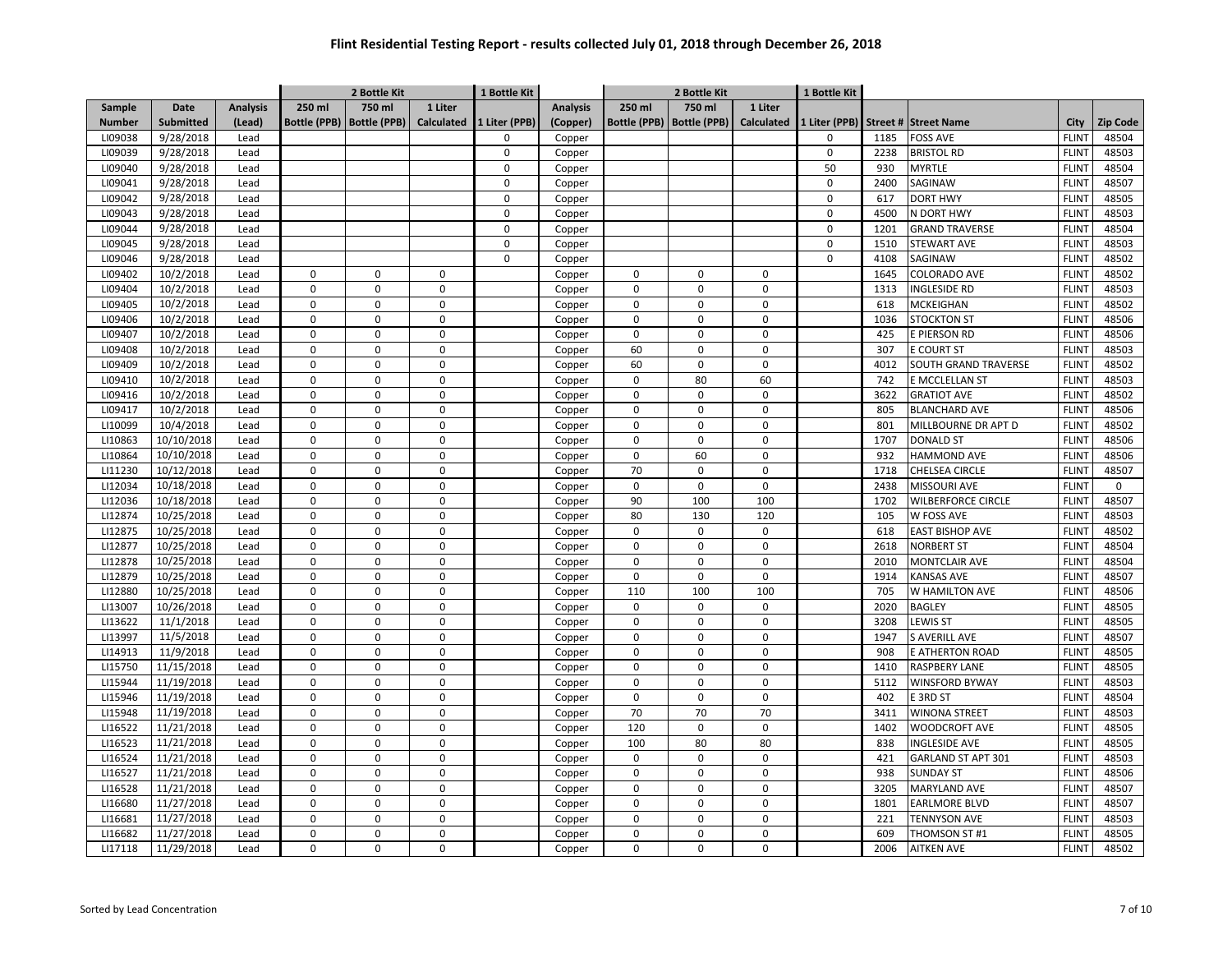|               |            |                 |             | 2 Bottle Kit                |                   | 1 Bottle Kit  |                 | 2 Bottle Kit        |                     | 1 Bottle Kit      |               |      |                           |              |             |
|---------------|------------|-----------------|-------------|-----------------------------|-------------------|---------------|-----------------|---------------------|---------------------|-------------------|---------------|------|---------------------------|--------------|-------------|
| Sample        | Date       | <b>Analysis</b> | 250 ml      | 750 ml                      | 1 Liter           |               | <b>Analysis</b> | 250 ml              | 750 ml              | 1 Liter           |               |      |                           |              |             |
| <b>Number</b> | Submitted  | (Lead)          |             | Bottle (PPB)   Bottle (PPB) | <b>Calculated</b> | 1 Liter (PPB) | (Copper)        | <b>Bottle (PPB)</b> | <b>Bottle (PPB)</b> | <b>Calculated</b> | 1 Liter (PPB) |      | Street # Street Name      | City         | Zip Code    |
| LI09038       | 9/28/2018  | Lead            |             |                             |                   | $\Omega$      | Copper          |                     |                     |                   | $\Omega$      | 1185 | FOSS AVE                  | <b>FLINT</b> | 48504       |
| LI09039       | 9/28/2018  | Lead            |             |                             |                   | $\mathbf 0$   | Copper          |                     |                     |                   | $\mathsf 0$   | 2238 | <b>BRISTOL RD</b>         | <b>FLINT</b> | 48503       |
| LI09040       | 9/28/2018  | Lead            |             |                             |                   | 0             | Copper          |                     |                     |                   | 50            | 930  | MYRTLE                    | <b>FLINT</b> | 48504       |
| LI09041       | 9/28/2018  | Lead            |             |                             |                   | $\mathbf 0$   | Copper          |                     |                     |                   | 0             | 2400 | SAGINAW                   | <b>FLINT</b> | 48507       |
| LI09042       | 9/28/2018  | Lead            |             |                             |                   | $\mathbf 0$   | Copper          |                     |                     |                   | 0             | 617  | <b>DORT HWY</b>           | <b>FLINT</b> | 48505       |
| LI09043       | 9/28/2018  | Lead            |             |                             |                   | $\mathbf 0$   | Copper          |                     |                     |                   | 0             | 4500 | N DORT HWY                | <b>FLINT</b> | 48503       |
| LI09044       | 9/28/2018  | Lead            |             |                             |                   | 0             | Copper          |                     |                     |                   | 0             | 1201 | <b>GRAND TRAVERSE</b>     | <b>FLINT</b> | 48504       |
| LI09045       | 9/28/2018  | Lead            |             |                             |                   | $\Omega$      | Copper          |                     |                     |                   | $\Omega$      | 1510 | <b>STEWART AVE</b>        | <b>FLINT</b> | 48503       |
| LI09046       | 9/28/2018  | Lead            |             |                             |                   | $\Omega$      | Copper          |                     |                     |                   | $\Omega$      | 4108 | SAGINAW                   | <b>FLINT</b> | 48502       |
| LI09402       | 10/2/2018  | Lead            | $\Omega$    | $\mathbf 0$                 | $\mathbf 0$       |               | Copper          | $\Omega$            | $\mathbf 0$         | $\Omega$          |               | 1645 | COLORADO AVE              | <b>FLINT</b> | 48502       |
| LI09404       | 10/2/2018  | Lead            | $\Omega$    | $\mathbf 0$                 | $\mathbf 0$       |               | Copper          | $\mathbf 0$         | $\mathbf 0$         | $\mathbf 0$       |               | 1313 | INGLESIDE RD              | <b>FLINT</b> | 48503       |
| LI09405       | 10/2/2018  | Lead            | $\mathbf 0$ | $\mathbf 0$                 | $\mathbf 0$       |               | Copper          | $\mathbf 0$         | $\mathbf 0$         | 0                 |               | 618  | MCKEIGHAN                 | <b>FLINT</b> | 48502       |
| LI09406       | 10/2/2018  | Lead            | $\pmb{0}$   | $\mathbf 0$                 | $\mathbf 0$       |               | Copper          | $\mathbf 0$         | $\mathbf 0$         | 0                 |               | 1036 | <b>STOCKTON ST</b>        | <b>FLINT</b> | 48506       |
| LI09407       | 10/2/2018  | Lead            | $\pmb{0}$   | $\pmb{0}$                   | $\mathbf 0$       |               | Copper          | $\mathbf 0$         | $\mathbf 0$         | 0                 |               | 425  | E PIERSON RD              | <b>FLINT</b> | 48506       |
| LI09408       | 10/2/2018  | Lead            | $\pmb{0}$   | $\mathbf 0$                 | $\mathsf 0$       |               | Copper          | 60                  | $\mathsf 0$         | 0                 |               | 307  | E COURT ST                | <b>FLINT</b> | 48503       |
| LI09409       | 10/2/2018  | Lead            | $\mathbf 0$ | $\mathbf 0$                 | $\mathbf 0$       |               | Copper          | 60                  | $\Omega$            | $\mathbf 0$       |               | 4012 | SOUTH GRAND TRAVERSE      | <b>FLINT</b> | 48502       |
| LI09410       | 10/2/2018  | Lead            | $\pmb{0}$   | $\mathbf 0$                 | $\mathbf 0$       |               | Copper          | $\mathbf 0$         | 80                  | 60                |               | 742  | E MCCLELLAN ST            | <b>FLINT</b> | 48503       |
| LI09416       | 10/2/2018  | Lead            | $\mathbf 0$ | $\mathbf 0$                 | $\mathbf 0$       |               | Copper          | 0                   | $\mathbf 0$         | 0                 |               | 3622 | <b>GRATIOT AVE</b>        | <b>FLINT</b> | 48502       |
| LI09417       | 10/2/2018  | Lead            | $\pmb{0}$   | $\pmb{0}$                   | $\mathbf 0$       |               | Copper          | $\mathbf 0$         | $\mathbf 0$         | 0                 |               | 805  | <b>BLANCHARD AVE</b>      | <b>FLINT</b> | 48506       |
| LI10099       | 10/4/2018  | Lead            | $\pmb{0}$   | $\mathsf 0$                 | $\mathbf 0$       |               | Copper          | 0                   | $\mathbf 0$         | 0                 |               | 801  | MILLBOURNE DR APT D       | <b>FLINT</b> | 48502       |
| LI10863       | 10/10/2018 | Lead            | $\pmb{0}$   | $\mathbf 0$                 | $\mathsf 0$       |               | Copper          | $\mathbf 0$         | $\mathbf 0$         | 0                 |               | 1707 | <b>DONALD ST</b>          | <b>FLINT</b> | 48506       |
| LI10864       | 10/10/2018 | Lead            | $\mathbf 0$ | $\mathbf 0$                 | $\Omega$          |               | Copper          | $\mathbf 0$         | 60                  | $\Omega$          |               | 932  | <b>HAMMOND AVE</b>        | <b>FLINT</b> | 48506       |
| LI11230       | 10/12/2018 | Lead            | $\pmb{0}$   | $\mathbf 0$                 | $\mathbf 0$       |               | Copper          | 70                  | $\mathbf 0$         | $\Omega$          |               | 1718 | CHELSEA CIRCLE            | <b>FLINT</b> | 48507       |
| LI12034       | 10/18/2018 | Lead            | $\mathbf 0$ | $\mathbf 0$                 | $\mathbf 0$       |               | Copper          | $\mathbf 0$         | $\mathbf 0$         | $\Omega$          |               | 2438 | MISSOURI AVE              | <b>FLINT</b> | $\mathbf 0$ |
| LI12036       | 10/18/2018 | Lead            | $\pmb{0}$   | $\mathbf 0$                 | $\pmb{0}$         |               | Copper          | 90                  | 100                 | 100               |               | 1702 | <b>WILBERFORCE CIRCLE</b> | <b>FLINT</b> | 48507       |
| LI12874       | 10/25/2018 | Lead            | $\mathbf 0$ | $\mathbf 0$                 | $\mathbf 0$       |               | Copper          | 80                  | 130                 | 120               |               | 105  | W FOSS AVE                | <b>FLINT</b> | 48503       |
| LI12875       | 10/25/2018 | Lead            | $\pmb{0}$   | $\mathbf 0$                 | $\mathbf 0$       |               | Copper          | $\mathsf 0$         | $\mathsf 0$         | 0                 |               | 618  | <b>EAST BISHOP AVE</b>    | <b>FLINT</b> | 48502       |
| LI12877       | 10/25/2018 | Lead            | $\pmb{0}$   | $\mathbf 0$                 | $\mathbf 0$       |               | Copper          | $\mathbf 0$         | $\mathbf 0$         | 0                 |               | 2618 | <b>NORBERT ST</b>         | <b>FLINT</b> | 48504       |
| LI12878       | 10/25/2018 | Lead            | $\pmb{0}$   | $\mathbf 0$                 | $\mathsf 0$       |               | Copper          | $\mathsf 0$         | $\mathsf 0$         | 0                 |               | 2010 | MONTCLAIR AVE             | <b>FLINT</b> | 48504       |
| LI12879       | 10/25/2018 | Lead            | $\pmb{0}$   | $\mathbf 0$                 | $\mathbf 0$       |               | Copper          | 0                   | $\mathbf 0$         | 0                 |               | 1914 | KANSAS AVE                | <b>FLINT</b> | 48507       |
| LI12880       | 10/25/2018 | Lead            | $\pmb{0}$   | $\mathbf 0$                 | $\mathbf 0$       |               | Copper          | 110                 | 100                 | 100               |               | 705  | W HAMILTON AVE            | <b>FLINT</b> | 48506       |
| LI13007       | 10/26/2018 | Lead            | $\pmb{0}$   | $\mathbf 0$                 | $\mathbf 0$       |               | Copper          | 0                   | $\mathbf 0$         | 0                 |               | 2020 | <b>BAGLEY</b>             | <b>FLINT</b> | 48505       |
| LI13622       | 11/1/2018  | Lead            | $\pmb{0}$   | $\mathbf 0$                 | $\mathbf 0$       |               | Copper          | 0                   | $\mathsf 0$         | 0                 |               | 3208 | <b>LEWIS ST</b>           | <b>FLINT</b> | 48505       |
| LI13997       | 11/5/2018  | Lead            | $\pmb{0}$   | $\pmb{0}$                   | $\mathbf 0$       |               | Copper          | 0                   | $\mathbf 0$         | 0                 |               | 1947 | <b>S AVERILL AVE</b>      | <b>FLINT</b> | 48507       |
| LI14913       | 11/9/2018  | Lead            | $\mathbf 0$ | $\mathbf 0$                 | $\mathbf 0$       |               | Copper          | $\mathbf 0$         | $\mathbf 0$         | 0                 |               | 908  | E ATHERTON ROAD           | <b>FLINT</b> | 48505       |
| LI15750       | 11/15/2018 | Lead            | $\pmb{0}$   | $\mathbf 0$                 | $\pmb{0}$         |               | Copper          | $\mathbf 0$         | $\mathbf 0$         | 0                 |               | 1410 | RASPBERY LANE             | <b>FLINT</b> | 48505       |
| LI15944       | 11/19/2018 | Lead            | $\mathbf 0$ | $\mathbf 0$                 | $\Omega$          |               | Copper          | $\Omega$            | $\Omega$            | $\Omega$          |               | 5112 | WINSFORD BYWAY            | <b>FLINT</b> | 48503       |
| LI15946       | 11/19/2018 | Lead            | $\mathbf 0$ | $\mathbf 0$                 | $\mathbf 0$       |               | Copper          | $\mathbf 0$         | $\mathbf 0$         | $\Omega$          |               | 402  | E 3RD ST                  | <b>FLINT</b> | 48504       |
| LI15948       | 11/19/2018 | Lead            | $\mathbf 0$ | $\mathbf 0$                 | $\mathbf 0$       |               | Copper          | 70                  | 70                  | 70                |               | 3411 | <b>WINONA STREET</b>      | <b>FLINT</b> | 48503       |
| LI16522       | 11/21/2018 | Lead            | $\pmb{0}$   | $\mathbf 0$                 | $\mathbf 0$       |               | Copper          | 120                 | $\mathbf 0$         | 0                 |               | 1402 | <b>WOODCROFT AVE</b>      | <b>FLINT</b> | 48505       |
| LI16523       | 11/21/2018 | Lead            | $\mathbf 0$ | $\mathbf 0$                 | $\mathbf 0$       |               | Copper          | 100                 | 80                  | 80                |               | 838  | INGLESIDE AVE             | <b>FLINT</b> | 48505       |
| LI16524       | 11/21/2018 | Lead            | $\pmb{0}$   | $\mathbf 0$                 | $\mathsf 0$       |               | Copper          | $\mathbf 0$         | $\mathbf 0$         | 0                 |               | 421  | GARLAND ST APT 301        | <b>FLINT</b> | 48503       |
| LI16527       | 11/21/2018 | Lead            | $\pmb{0}$   | $\mathbf 0$                 | $\mathbf 0$       |               | Copper          | $\mathbf 0$         | $\mathbf 0$         | 0                 |               | 938  | <b>SUNDAY ST</b>          | <b>FLINT</b> | 48506       |
| LI16528       | 11/21/2018 | Lead            | $\pmb{0}$   | $\mathbf 0$                 | $\mathsf 0$       |               | Copper          | $\mathbf 0$         | $\mathbf 0$         | 0                 |               | 3205 | <b>MARYLAND AVE</b>       | <b>FLINT</b> | 48507       |
| LI16680       | 11/27/2018 | Lead            | $\pmb{0}$   | $\mathbf 0$                 | $\mathbf 0$       |               | Copper          | 0                   | $\mathbf 0$         | 0                 |               | 1801 | <b>EARLMORE BLVD</b>      | <b>FLINT</b> | 48507       |
| LI16681       | 11/27/2018 | Lead            | $\pmb{0}$   | $\mathbf 0$                 | $\mathbf 0$       |               | Copper          | $\mathbf 0$         | $\mathbf 0$         | 0                 |               | 221  | <b>TENNYSON AVE</b>       | <b>FLINT</b> | 48503       |
| LI16682       | 11/27/2018 | Lead            | $\mathbf 0$ | $\mathbf 0$                 | $\mathbf 0$       |               | Copper          | $\Omega$            | $\mathbf 0$         | 0                 |               | 609  | THOMSON ST #1             | <b>FLINT</b> | 48505       |
| LI17118       | 11/29/2018 | Lead            | $\mathbf 0$ | $\mathbf 0$                 | $\mathbf 0$       |               | Copper          | 0                   | $\mathbf 0$         | 0                 |               | 2006 | <b>AITKEN AVE</b>         | <b>FLINT</b> | 48502       |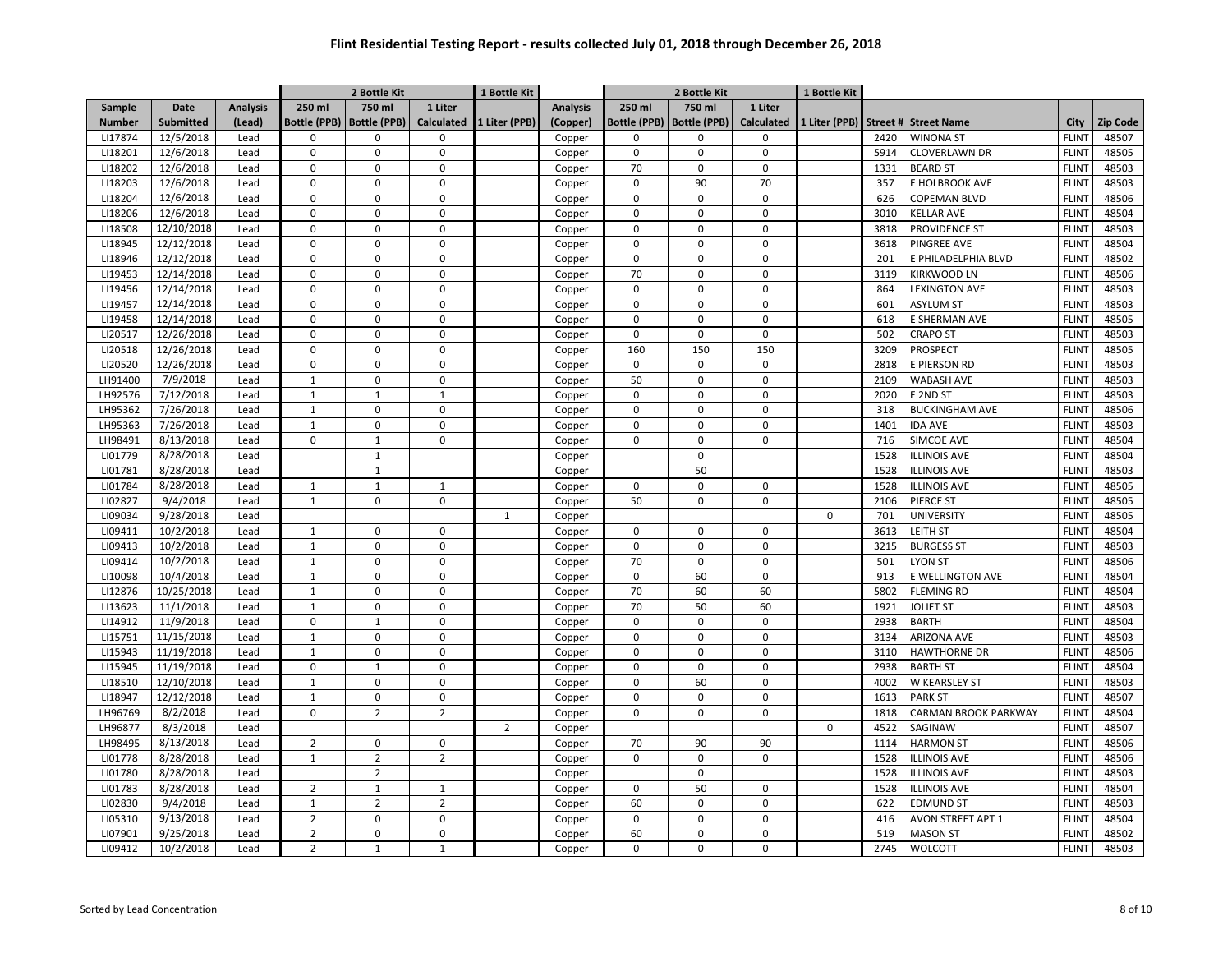|               |                  |                 |                     | 2 Bottle Kit        |                   | 1 Bottle Kit   |                 | 2 Bottle Kit        |                     |              | 1 Bottle Kit  |      |                       |              |          |
|---------------|------------------|-----------------|---------------------|---------------------|-------------------|----------------|-----------------|---------------------|---------------------|--------------|---------------|------|-----------------------|--------------|----------|
| Sample        | Date             | <b>Analysis</b> | 250 ml              | 750 ml              | 1 Liter           |                | <b>Analysis</b> | 250 ml              | 750 ml              | 1 Liter      |               |      |                       |              |          |
| <b>Number</b> | <b>Submitted</b> | (Lead)          | <b>Bottle (PPB)</b> | <b>Bottle (PPB)</b> | <b>Calculated</b> | 1 Liter (PPB)  | (Copper)        | <b>Bottle (PPB)</b> | <b>Bottle (PPB)</b> | Calculated   | 1 Liter (PPB) |      | Street # Street Name  | City         | Zip Code |
| LI17874       | 12/5/2018        | Lead            | 0                   | $\mathbf 0$         | $\mathbf 0$       |                | Copper          | $\Omega$            | $\Omega$            | 0            |               | 2420 | <b>WINONA ST</b>      | <b>FLINT</b> | 48507    |
| LI18201       | 12/6/2018        | Lead            | 0                   | $\mathbf 0$         | $\mathsf 0$       |                | Copper          | $\mathbf 0$         | $\mathbf 0$         | 0            |               | 5914 | <b>CLOVERLAWN DR</b>  | <b>FLINT</b> | 48505    |
| LI18202       | 12/6/2018        | Lead            | 0                   | $\mathbf 0$         | $\mathbf 0$       |                | Copper          | 70                  | $\mathbf 0$         | 0            |               | 1331 | <b>BEARD ST</b>       | <b>FLINT</b> | 48503    |
| LI18203       | 12/6/2018        | Lead            | 0                   | $\mathbf 0$         | $\mathsf 0$       |                | Copper          | $\mathbf 0$         | 90                  | 70           |               | 357  | E HOLBROOK AVE        | <b>FLINT</b> | 48503    |
| LI18204       | 12/6/2018        | Lead            | 0                   | $\mathbf 0$         | $\mathbf 0$       |                | Copper          | $\mathbf 0$         | $\mathbf 0$         | 0            |               | 626  | COPEMAN BLVD          | <b>FLINT</b> | 48506    |
| LI18206       | 12/6/2018        | Lead            | 0                   | $\mathbf 0$         | $\mathsf 0$       |                | Copper          | $\mathbf 0$         | $\pmb{0}$           | 0            |               | 3010 | <b>KELLAR AVE</b>     | <b>FLINT</b> | 48504    |
| LI18508       | 12/10/2018       | Lead            | 0                   | $\mathbf 0$         | $\Omega$          |                | Copper          | $\mathbf 0$         | $\mathbf 0$         | 0            |               | 3818 | PROVIDENCE ST         | <b>FLINT</b> | 48503    |
| LI18945       | 12/12/2018       | Lead            | $\Omega$            | $\Omega$            | $\mathbf 0$       |                | Copper          | $\Omega$            | $\Omega$            | <sup>0</sup> |               | 3618 | PINGREE AVE           | <b>FLINT</b> | 48504    |
| LI18946       | 12/12/2018       | Lead            | $\Omega$            | $\Omega$            | $\mathbf 0$       |                | Copper          | $\Omega$            | $\mathbf 0$         | 0            |               | 201  | E PHILADELPHIA BLVD   | <b>FLINT</b> | 48502    |
| LI19453       | 12/14/2018       | Lead            | $\mathbf 0$         | $\mathbf 0$         | $\mathbf 0$       |                | Copper          | 70                  | $\mathbf 0$         | 0            |               | 3119 | KIRKWOOD LN           | <b>FLINT</b> | 48506    |
| LI19456       | 12/14/2018       | Lead            | 0                   | $\mathbf 0$         | $\mathbf 0$       |                | Copper          | $\mathbf 0$         | $\mathbf 0$         | 0            |               | 864  | <b>LEXINGTON AVE</b>  | <b>FLINT</b> | 48503    |
| LI19457       | 12/14/2018       | Lead            | $\mathbf 0$         | $\mathbf 0$         | $\mathbf 0$       |                | Copper          | $\mathbf 0$         | $\mathbf 0$         | 0            |               | 601  | <b>ASYLUM ST</b>      | <b>FLINT</b> | 48503    |
| LI19458       | 12/14/2018       | Lead            | 0                   | $\mathbf 0$         | $\mathbf 0$       |                | Copper          | $\mathbf 0$         | $\mathbf 0$         | 0            |               | 618  | E SHERMAN AVE         | <b>FLINT</b> | 48505    |
| LI20517       | 12/26/2018       | Lead            | $\mathbf 0$         | $\mathbf 0$         | $\mathbf 0$       |                | Copper          | $\pmb{0}$           | $\mathbf 0$         | 0            |               | 502  | <b>CRAPO ST</b>       | <b>FLINT</b> | 48503    |
| LI20518       | 12/26/2018       | Lead            | 0                   | $\mathbf 0$         | $\mathbf 0$       |                | Copper          | 160                 | 150                 | 150          |               | 3209 | PROSPECT              | <b>FLINT</b> | 48505    |
| LI20520       | 12/26/2018       | Lead            | $\Omega$            | $\mathbf 0$         | $\mathbf 0$       |                | Copper          | $\mathbf 0$         | $\mathbf 0$         | 0            |               | 2818 | E PIERSON RD          | <b>FLINT</b> | 48503    |
| LH91400       | 7/9/2018         | Lead            | $\mathbf{1}$        | $\mathbf 0$         | $\mathbf 0$       |                | Copper          | 50                  | $\mathbf 0$         | 0            |               | 2109 | <b>WABASH AVE</b>     | <b>FLINT</b> | 48503    |
| LH92576       | 7/12/2018        | Lead            | $\mathbf{1}$        | $\mathbf 1$         | $\mathbf{1}$      |                | Copper          | $\mathbf 0$         | $\mathbf 0$         | 0            |               | 2020 | E 2ND ST              | <b>FLINT</b> | 48503    |
| LH95362       | 7/26/2018        | Lead            | $\mathbf{1}$        | $\mathbf 0$         | $\mathbf 0$       |                | Copper          | $\mathbf 0$         | $\mathbf 0$         | 0            |               | 318  | <b>BUCKINGHAM AVE</b> | <b>FLINT</b> | 48506    |
| LH95363       | 7/26/2018        | Lead            | $\mathbf{1}$        | $\mathbf 0$         | $\mathbf 0$       |                | Copper          | $\mathbf 0$         | $\mathbf 0$         | 0            |               | 1401 | <b>IDA AVE</b>        | <b>FLINT</b> | 48503    |
| LH98491       | 8/13/2018        | Lead            | $\Omega$            | $\mathbf{1}$        | $\mathbf 0$       |                | Copper          | $\mathbf 0$         | $\Omega$            | 0            |               | 716  | SIMCOE AVE            | <b>FLINT</b> | 48504    |
| LI01779       | 8/28/2018        | Lead            |                     | $\mathbf{1}$        |                   |                | Copper          |                     | $\mathbf 0$         |              |               | 1528 | <b>LLINOIS AVE</b>    | <b>FLINT</b> | 48504    |
| LI01781       | 8/28/2018        | Lead            |                     | $\mathbf{1}$        |                   |                | Copper          |                     | 50                  |              |               | 1528 | <b>LLINOIS AVE</b>    | <b>FLINT</b> | 48503    |
| LI01784       | 8/28/2018        | Lead            | $\mathbf{1}$        | $\mathbf{1}$        | $\mathbf{1}$      |                | Copper          | $\Omega$            | $\mathbf 0$         | 0            |               | 1528 | <b>LLINOIS AVE</b>    | <b>FLINT</b> | 48505    |
| LI02827       | 9/4/2018         | Lead            | $\mathbf 1$         | $\mathbf 0$         | $\mathbf 0$       |                | Copper          | 50                  | $\mathbf 0$         | 0            |               | 2106 | PIERCE ST             | <b>FLINT</b> | 48505    |
| LI09034       | 9/28/2018        | Lead            |                     |                     |                   | $\mathbf{1}$   | Copper          |                     |                     |              | $\mathbf 0$   | 701  | UNIVERSITY            | <b>FLINT</b> | 48505    |
| LI09411       | 10/2/2018        | Lead            | $\mathbf{1}$        | $\mathbf 0$         | $\mathsf 0$       |                | Copper          | $\mathbf 0$         | $\mathsf 0$         | 0            |               | 3613 | LEITH ST              | <b>FLINT</b> | 48504    |
| LI09413       | 10/2/2018        | Lead            | $\mathbf 1$         | $\mathbf 0$         | $\mathbf 0$       |                | Copper          | $\pmb{0}$           | $\pmb{0}$           | 0            |               | 3215 | <b>BURGESS ST</b>     | <b>FLINT</b> | 48503    |
| LI09414       | 10/2/2018        | Lead            | $\mathbf{1}$        | $\mathbf 0$         | $\mathbf 0$       |                | Copper          | 70                  | $\mathbf 0$         | 0            |               | 501  | LYON ST               | <b>FLINT</b> | 48506    |
| LI10098       | 10/4/2018        | Lead            | $\mathbf{1}$        | $\mathbf 0$         | $\mathbf 0$       |                | Copper          | $\mathbf 0$         | 60                  | 0            |               | 913  | E WELLINGTON AVE      | <b>FLINT</b> | 48504    |
| LI12876       | 10/25/2018       | Lead            | $\mathbf{1}$        | $\mathbf 0$         | $\mathbf 0$       |                | Copper          | 70                  | 60                  | 60           |               | 5802 | <b>FLEMING RD</b>     | <b>FLINT</b> | 48504    |
| LI13623       | 11/1/2018        | Lead            | $\mathbf 1$         | $\mathbf 0$         | $\mathsf 0$       |                | Copper          | 70                  | 50                  | 60           |               | 1921 | <b>JOLIET ST</b>      | <b>FLINT</b> | 48503    |
| LI14912       | 11/9/2018        | Lead            | 0                   | $\mathbf{1}$        | $\mathbf 0$       |                | Copper          | $\mathbf 0$         | $\mathbf 0$         | 0            |               | 2938 | <b>BARTH</b>          | <b>FLINT</b> | 48504    |
| LI15751       | 11/15/2018       | Lead            | $\mathbf{1}$        | $\mathbf 0$         | $\mathsf 0$       |                | Copper          | $\mathbf 0$         | $\mathbf 0$         | 0            |               | 3134 | ARIZONA AVE           | <b>FLINT</b> | 48503    |
| LI15943       | 11/19/2018       | Lead            | $\mathbf{1}$        | $\mathbf 0$         | $\Omega$          |                | Copper          | $\Omega$            | $\Omega$            | 0            |               | 3110 | <b>HAWTHORNE DR</b>   | <b>FLINT</b> | 48506    |
| LI15945       | 11/19/2018       | Lead            | $\Omega$            | $\mathbf{1}$        | $\mathbf 0$       |                | Copper          | $\Omega$            | $\mathbf 0$         | <sup>0</sup> |               | 2938 | <b>BARTH ST</b>       | <b>FLINT</b> | 48504    |
| LI18510       | 12/10/2018       | Lead            | $\mathbf{1}$        | $\mathbf 0$         | $\mathbf 0$       |                | Copper          | $\Omega$            | 60                  | 0            |               | 4002 | W KEARSLEY ST         | <b>FLINT</b> | 48503    |
| LI18947       | 12/12/2018       | Lead            | $\mathbf 1$         | $\mathbf 0$         | $\mathsf 0$       |                | Copper          | $\mathbf 0$         | $\mathbf 0$         | 0            |               | 1613 | <b>PARK ST</b>        | <b>FLINT</b> | 48507    |
| LH96769       | 8/2/2018         | Lead            | 0                   | $\overline{2}$      | $\overline{2}$    |                | Copper          | $\Omega$            | $\mathbf 0$         | 0            |               | 1818 | CARMAN BROOK PARKWAY  | <b>FLINT</b> | 48504    |
| LH96877       | 8/3/2018         | Lead            |                     |                     |                   | $\overline{z}$ | Copper          |                     |                     |              | 0             | 4522 | SAGINAW               | <b>FLINT</b> | 48507    |
| LH98495       | 8/13/2018        | Lead            | $\overline{2}$      | $\mathbf 0$         | $\mathsf 0$       |                | Copper          | 70                  | 90                  | 90           |               | 1114 | <b>HARMON ST</b>      | <b>FLINT</b> | 48506    |
| LI01778       | 8/28/2018        | Lead            | $\mathbf 1$         | $\overline{2}$      | $\overline{2}$    |                | Copper          | $\mathbf 0$         | $\mathbf 0$         | 0            |               | 1528 | <b>LLINOIS AVE</b>    | <b>FLINT</b> | 48506    |
| LI01780       | 8/28/2018        | Lead            |                     | $\overline{2}$      |                   |                | Copper          |                     | $\mathbf 0$         |              |               | 1528 | <b>LLINOIS AVE</b>    | <b>FLINT</b> | 48503    |
| LI01783       | 8/28/2018        | Lead            | $\overline{2}$      | $\mathbf{1}$        | $\mathbf{1}$      |                | Copper          | $\mathbf 0$         | 50                  | 0            |               | 1528 | <b>ILLINOIS AVE</b>   | <b>FLINT</b> | 48504    |
| LI02830       | 9/4/2018         | Lead            | $\mathbf{1}$        | $\overline{2}$      | $\overline{2}$    |                | Copper          | 60                  | $\mathbf 0$         | 0            |               | 622  | <b>EDMUND ST</b>      | <b>FLINT</b> | 48503    |
| LI05310       | 9/13/2018        | Lead            | $\overline{2}$      | $\mathbf 0$         | $\mathsf 0$       |                | Copper          | $\mathbf 0$         | $\mathsf 0$         | 0            |               | 416  | AVON STREET APT 1     | <b>FLINT</b> | 48504    |
| LI07901       | 9/25/2018        | Lead            | $\overline{2}$      | $\mathbf 0$         | $\mathbf 0$       |                | Copper          | 60                  | $\mathbf 0$         | 0            |               | 519  | <b>MASON ST</b>       | <b>FLINT</b> | 48502    |
| LI09412       |                  | Lead            | $\overline{2}$      | $\mathbf 1$         | $\mathbf{1}$      |                |                 | $\mathsf 0$         | $\mathbf 0$         | 0            |               | 2745 | <b>WOLCOTT</b>        | <b>FLINT</b> | 48503    |
|               | 10/2/2018        |                 |                     |                     |                   |                | Copper          |                     |                     |              |               |      |                       |              |          |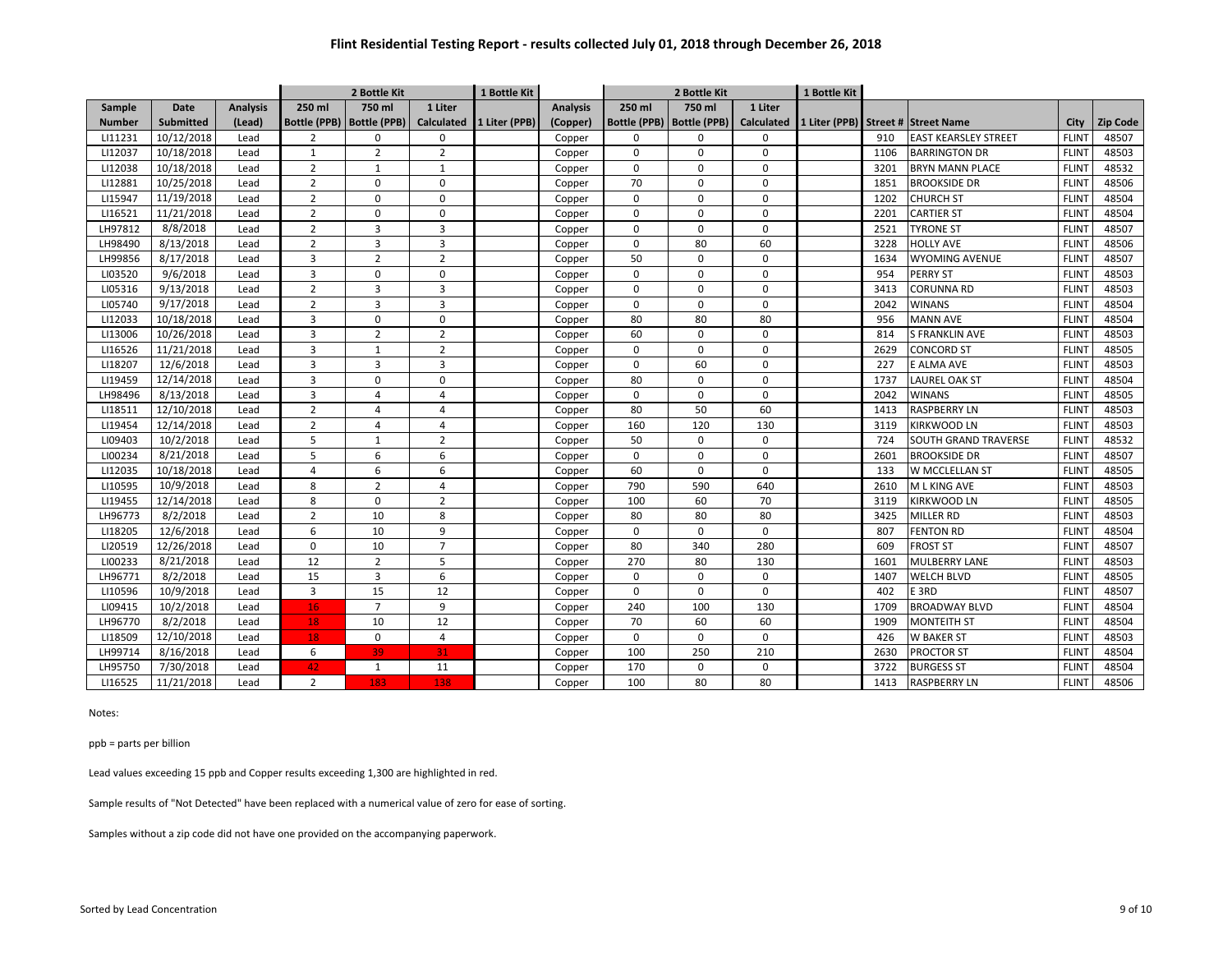|               |                  |                 |                | 2 Bottle Kit                |                | 1 Bottle Kit  |                 | 2 Bottle Kit |                             | 1 Bottle Kit      |               |      |                             |              |                 |
|---------------|------------------|-----------------|----------------|-----------------------------|----------------|---------------|-----------------|--------------|-----------------------------|-------------------|---------------|------|-----------------------------|--------------|-----------------|
| Sample        | <b>Date</b>      | <b>Analysis</b> | 250 ml         | 750 ml                      | 1 Liter        |               | <b>Analysis</b> | 250 ml       | 750 ml                      | 1 Liter           |               |      |                             |              |                 |
| <b>Number</b> | <b>Submitted</b> | (Lead)          |                | Bottle (PPB)   Bottle (PPB) | Calculated     | 1 Liter (PPB) | (Copper)        |              | Bottle (PPB)   Bottle (PPB) | <b>Calculated</b> | 1 Liter (PPB) |      | Street # Street Name        | City         | <b>Zip Code</b> |
| LI11231       | 10/12/2018       | Lead            | 2              | $\mathbf 0$                 | $\mathbf 0$    |               | Copper          | $\Omega$     | $\mathbf 0$                 | 0                 |               | 910  | <b>EAST KEARSLEY STREET</b> | <b>FLINT</b> | 48507           |
| LI12037       | 10/18/2018       | Lead            | $\mathbf{1}$   | $\overline{2}$              | $\overline{2}$ |               | Copper          | $\Omega$     | $\mathbf 0$                 | $\mathbf 0$       |               | 1106 | <b>BARRINGTON DR</b>        | <b>FLINT</b> | 48503           |
| LI12038       | 10/18/2018       | Lead            | $\overline{2}$ | $\mathbf{1}$                | $\mathbf{1}$   |               | Copper          | $\Omega$     | $\mathbf 0$                 | $\mathbf 0$       |               | 3201 | <b>BRYN MANN PLACE</b>      | <b>FLINT</b> | 48532           |
| LI12881       | 10/25/2018       | Lead            | $\overline{2}$ | $\mathbf 0$                 | $\mathbf 0$    |               | Copper          | 70           | $\mathbf 0$                 | $\mathbf 0$       |               | 1851 | <b>BROOKSIDE DR</b>         | <b>FLINT</b> | 48506           |
| LI15947       | 11/19/2018       | Lead            | $\overline{2}$ | $\mathbf 0$                 | $\mathbf 0$    |               | Copper          | $\Omega$     | $\Omega$                    | 0                 |               | 1202 | <b>CHURCH ST</b>            | <b>FLINT</b> | 48504           |
| LI16521       | 11/21/2018       | Lead            | $\overline{2}$ | $\mathbf 0$                 | $\mathbf 0$    |               | Copper          | $\Omega$     | $\Omega$                    | $\mathbf 0$       |               | 2201 | <b>CARTIER ST</b>           | <b>FLINT</b> | 48504           |
| LH97812       | 8/8/2018         | Lead            | $\overline{2}$ | 3                           | 3              |               | Copper          | $\Omega$     | $\Omega$                    | $\mathbf 0$       |               | 2521 | <b>TYRONE ST</b>            | <b>FLINT</b> | 48507           |
| LH98490       | 8/13/2018        | Lead            | $\overline{2}$ | $\overline{3}$              | $\overline{3}$ |               | Copper          | $\Omega$     | 80                          | 60                |               | 3228 | <b>HOLLY AVE</b>            | <b>FLINT</b> | 48506           |
| LH99856       | 8/17/2018        | Lead            | 3              | $\overline{2}$              | $\overline{2}$ |               | Copper          | 50           | $\Omega$                    | $\Omega$          |               | 1634 | <b>WYOMING AVENUE</b>       | <b>FLINT</b> | 48507           |
| LI03520       | 9/6/2018         | Lead            | 3              | $\mathbf 0$                 | $\mathbf 0$    |               | Copper          | $\Omega$     | $\Omega$                    | $\mathbf 0$       |               | 954  | <b>PERRY ST</b>             | <b>FLINT</b> | 48503           |
| LI05316       | 9/13/2018        | Lead            | $\overline{2}$ | 3                           | $\overline{3}$ |               | Copper          | $\Omega$     | $\Omega$                    | 0                 |               | 3413 | CORUNNA RD                  | <b>FLINT</b> | 48503           |
| LI05740       | 9/17/2018        | Lead            | $\overline{2}$ | $\overline{3}$              | $\overline{3}$ |               | Copper          | $\Omega$     | $\Omega$                    | 0                 |               | 2042 | <b>WINANS</b>               | <b>FLINT</b> | 48504           |
| LI12033       | 10/18/2018       | Lead            | 3              | $\mathbf 0$                 | $\mathbf 0$    |               | Copper          | 80           | 80                          | 80                |               | 956  | <b>MANN AVE</b>             | <b>FLINT</b> | 48504           |
| LI13006       | 10/26/2018       | Lead            | 3              | $\overline{2}$              | $\overline{2}$ |               | Copper          | 60           | $\Omega$                    | $\mathbf 0$       |               | 814  | <b>S FRANKLIN AVE</b>       | <b>FLINT</b> | 48503           |
| LI16526       | 11/21/2018       | Lead            | 3              | $\mathbf{1}$                | $\overline{2}$ |               | Copper          | $\Omega$     | $\Omega$                    | 0                 |               | 2629 | <b>CONCORD ST</b>           | <b>FLINT</b> | 48505           |
| LI18207       | 12/6/2018        | Lead            | 3              | 3                           | 3              |               | Copper          | $\mathbf 0$  | 60                          | 0                 |               | 227  | E ALMA AVE                  | <b>FLINT</b> | 48503           |
| LI19459       | 12/14/2018       | Lead            | 3              | $\mathbf 0$                 | $\mathbf 0$    |               | Copper          | 80           | $\Omega$                    | $\Omega$          |               | 1737 | LAUREL OAK ST               | <b>FLINT</b> | 48504           |
| LH98496       | 8/13/2018        | Lead            | 3              | $\overline{4}$              | $\overline{4}$ |               | Copper          | $\Omega$     | $\mathbf 0$                 | $\mathbf 0$       |               | 2042 | <b>WINANS</b>               | <b>FLINT</b> | 48505           |
| LI18511       | 12/10/2018       | Lead            | $\overline{2}$ | $\overline{4}$              | $\overline{4}$ |               | Copper          | 80           | 50                          | 60                |               | 1413 | <b>RASPBERRY LN</b>         | <b>FLINT</b> | 48503           |
| LI19454       | 12/14/2018       | Lead            | $\overline{2}$ | $\overline{4}$              | $\overline{4}$ |               | Copper          | 160          | 120                         | 130               |               | 3119 | KIRKWOOD LN                 | <b>FLINT</b> | 48503           |
| LI09403       | 10/2/2018        | Lead            | 5              | $\mathbf{1}$                | $\overline{2}$ |               | Copper          | 50           | $\mathbf 0$                 | 0                 |               | 724  | <b>SOUTH GRAND TRAVERSE</b> | <b>FLINT</b> | 48532           |
| LI00234       | 8/21/2018        | Lead            | 5              | 6                           | 6              |               | Copper          | $\mathbf 0$  | $\mathbf 0$                 | 0                 |               | 2601 | <b>BROOKSIDE DR</b>         | <b>FLINT</b> | 48507           |
| LI12035       | 10/18/2018       | Lead            | 4              | 6                           | 6              |               | Copper          | 60           | $\mathbf 0$                 | $\mathbf 0$       |               | 133  | <b>W MCCLELLAN ST</b>       | <b>FLINT</b> | 48505           |
| LI10595       | 10/9/2018        | Lead            | 8              | $\overline{2}$              | $\overline{4}$ |               | Copper          | 790          | 590                         | 640               |               | 2610 | M L KING AVE                | <b>FLINT</b> | 48503           |
| LI19455       | 12/14/2018       | Lead            | 8              | $\mathbf 0$                 | $\overline{2}$ |               | Copper          | 100          | 60                          | 70                |               | 3119 | <b>KIRKWOOD LN</b>          | <b>FLINT</b> | 48505           |
| LH96773       | 8/2/2018         | Lead            | $\overline{2}$ | 10                          | 8              |               | Copper          | 80           | 80                          | 80                |               | 3425 | <b>MILLER RD</b>            | <b>FLINT</b> | 48503           |
| LI18205       | 12/6/2018        | Lead            | 6              | 10                          | $\overline{9}$ |               | Copper          | $\mathbf 0$  | $\mathbf 0$                 | $\mathbf 0$       |               | 807  | <b>FENTON RD</b>            | <b>FLINT</b> | 48504           |
| LI20519       | 12/26/2018       | Lead            | $\mathbf 0$    | 10                          | $\overline{7}$ |               | Copper          | 80           | 340                         | 280               |               | 609  | <b>FROST ST</b>             | <b>FLINT</b> | 48507           |
| LI00233       | 8/21/2018        | Lead            | 12             | $\overline{2}$              | 5              |               | Copper          | 270          | 80                          | 130               |               | 1601 | <b>MULBERRY LANE</b>        | <b>FLINT</b> | 48503           |
| LH96771       | 8/2/2018         | Lead            | 15             | $\overline{3}$              | 6              |               | Copper          | $\mathbf 0$  | $\mathbf 0$                 | 0                 |               | 1407 | <b>WELCH BLVD</b>           | <b>FLINT</b> | 48505           |
| LI10596       | 10/9/2018        | Lead            | 3              | 15                          | 12             |               | Copper          | $\mathbf 0$  | $\mathbf 0$                 | $\mathbf 0$       |               | 402  | E <sub>3RD</sub>            | <b>FLINT</b> | 48507           |
| LI09415       | 10/2/2018        | Lead            | 16             | $\overline{7}$              | 9              |               | Copper          | 240          | 100                         | 130               |               | 1709 | <b>BROADWAY BLVD</b>        | <b>FLINT</b> | 48504           |
| LH96770       | 8/2/2018         | Lead            | 18             | 10                          | 12             |               | Copper          | 70           | 60                          | 60                |               | 1909 | <b>MONTEITH ST</b>          | <b>FLINT</b> | 48504           |
| LI18509       | 12/10/2018       | Lead            | 18             | $\mathbf 0$                 | $\overline{4}$ |               | Copper          | $\mathbf 0$  | $\mathbf 0$                 | 0                 |               | 426  | <b>W BAKER ST</b>           | <b>FLINT</b> | 48503           |
| LH99714       | 8/16/2018        | Lead            | 6              | 39                          | 31             |               | Copper          | 100          | 250                         | 210               |               | 2630 | <b>PROCTOR ST</b>           | <b>FLINT</b> | 48504           |
| LH95750       | 7/30/2018        | Lead            | 42             | $\mathbf{1}$                | 11             |               | Copper          | 170          | $\mathbf 0$                 | 0                 |               | 3722 | <b>BURGESS ST</b>           | <b>FLINT</b> | 48504           |
| LI16525       | 11/21/2018       | Lead            | $\overline{2}$ | 183                         | 138            |               | Copper          | 100          | 80                          | 80                |               | 1413 | <b>RASPBERRY LN</b>         | <b>FLINT</b> | 48506           |

Notes:

ppb = parts per billion

Lead values exceeding 15 ppb and Copper results exceeding 1,300 are highlighted in red.

Sample results of "Not Detected" have been replaced with a numerical value of zero for ease of sorting.

Samples without a zip code did not have one provided on the accompanying paperwork.